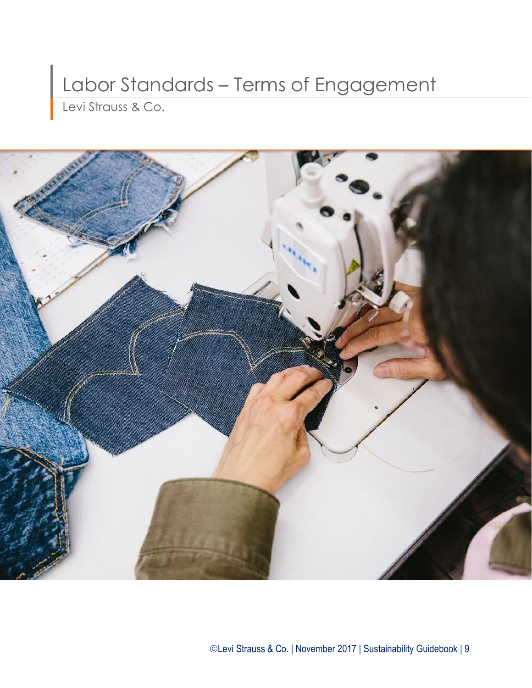# Labor Standards – Terms of Engagement

Levi Strauss & Co.

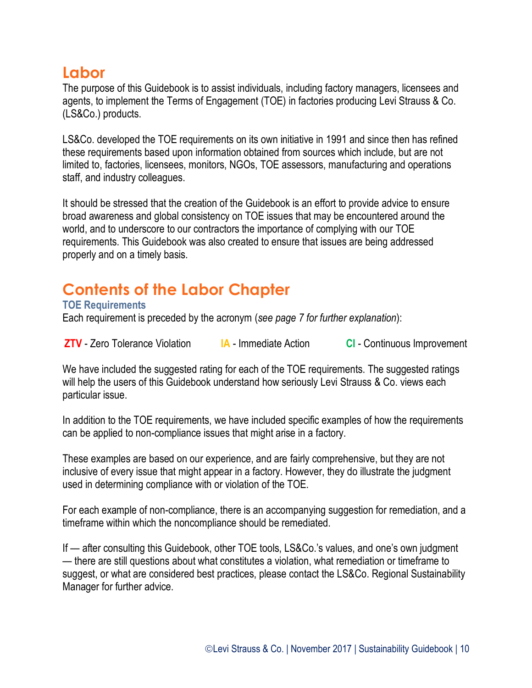### **Labor**

The purpose of this Guidebook is to assist individuals, including factory managers, licensees and agents, to implement the Terms of Engagement (TOE) in factories producing Levi Strauss & Co. (LS&Co.) products.

LS&Co. developed the TOE requirements on its own initiative in 1991 and since then has refined these requirements based upon information obtained from sources which include, but are not limited to, factories, licensees, monitors, NGOs, TOE assessors, manufacturing and operations staff, and industry colleagues.

It should be stressed that the creation of the Guidebook is an effort to provide advice to ensure broad awareness and global consistency on TOE issues that may be encountered around the world, and to underscore to our contractors the importance of complying with our TOE requirements. This Guidebook was also created to ensure that issues are being addressed properly and on a timely basis.

## **Contents of the Labor Chapter**

#### **TOE Requirements**

Each requirement is preceded by the acronym (*see page 7 for further explanation*):

**ZTV** - Zero Tolerance Violation **IA** - Immediate Action **CI** - Continuous Improvement

We have included the suggested rating for each of the TOE requirements. The suggested ratings will help the users of this Guidebook understand how seriously Levi Strauss & Co. views each particular issue.

In addition to the TOE requirements, we have included specific examples of how the requirements can be applied to non-compliance issues that might arise in a factory.

These examples are based on our experience, and are fairly comprehensive, but they are not inclusive of every issue that might appear in a factory. However, they do illustrate the judgment used in determining compliance with or violation of the TOE.

For each example of non-compliance, there is an accompanying suggestion for remediation, and a timeframe within which the noncompliance should be remediated.

If — after consulting this Guidebook, other TOE tools, LS&Co.'s values, and one's own judgment — there are still questions about what constitutes a violation, what remediation or timeframe to suggest, or what are considered best practices, please contact the LS&Co. Regional Sustainability Manager for further advice.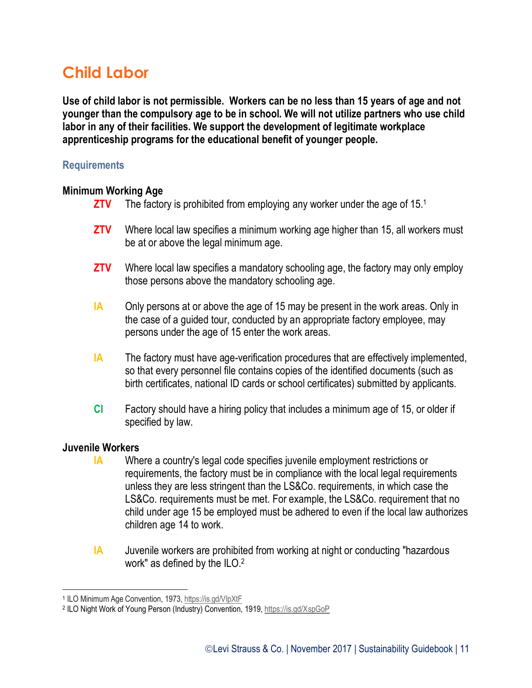### **Child Labor**

**Use of child labor is not permissible. Workers can be no less than 15 years of age and not younger than the compulsory age to be in school. We will not utilize partners who use child labor in any of their facilities. We support the development of legitimate workplace apprenticeship programs for the educational benefit of younger people.**

#### **Requirements**

#### **Minimum Working Age**

- **ZTV** The factory is prohibited from employing any worker under the age of 15.1
- **ZTV** Where local law specifies a minimum working age higher than 15, all workers must be at or above the legal minimum age.
- **ZTV** Where local law specifies a mandatory schooling age, the factory may only employ those persons above the mandatory schooling age.
- **IA** Only persons at or above the age of 15 may be present in the work areas. Only in the case of a guided tour, conducted by an appropriate factory employee, may persons under the age of 15 enter the work areas.
- **IA** The factory must have age-verification procedures that are effectively implemented, so that every personnel file contains copies of the identified documents (such as birth certificates, national ID cards or school certificates) submitted by applicants.
- **CI** Factory should have a hiring policy that includes a minimum age of 15, or older if specified by law.

#### **Juvenile Workers**

- **IA** Where a country's legal code specifies juvenile employment restrictions or requirements, the factory must be in compliance with the local legal requirements unless they are less stringent than the LS&Co. requirements, in which case the LS&Co. requirements must be met. For example, the LS&Co. requirement that no child under age 15 be employed must be adhered to even if the local law authorizes children age 14 to work.
- **IA** Juvenile workers are prohibited from working at night or conducting "hazardous work" as defined by the ILO.<sup>2</sup>

 $\overline{a}$ <sup>1</sup> ILO Minimum Age Convention, 1973, https://is.gd/VlpXtF

<sup>&</sup>lt;sup>2</sup> ILO Night Work of Young Person (Industry) Convention, 1919[, https://is.gd/XspGoP](https://is.gd/XspGoP)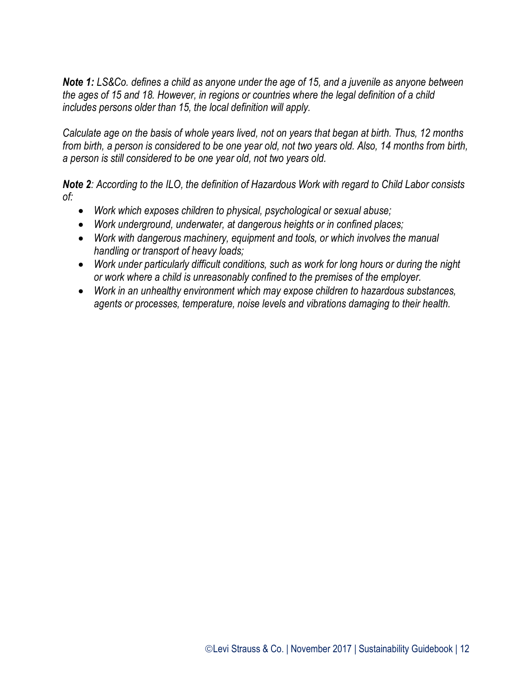*Note 1: LS&Co. defines a child as anyone under the age of 15, and a juvenile as anyone between the ages of 15 and 18. However, in regions or countries where the legal definition of a child includes persons older than 15, the local definition will apply.*

*Calculate age on the basis of whole years lived, not on years that began at birth. Thus, 12 months from birth, a person is considered to be one year old, not two years old. Also, 14 months from birth, a person is still considered to be one year old, not two years old.*

*Note 2: According to the ILO, the definition of Hazardous Work with regard to Child Labor consists of:*

- *Work which exposes children to physical, psychological or sexual abuse;*
- *Work underground, underwater, at dangerous heights or in confined places;*
- *Work with dangerous machinery, equipment and tools, or which involves the manual handling or transport of heavy loads;*
- *Work under particularly difficult conditions, such as work for long hours or during the night or work where a child is unreasonably confined to the premises of the employer.*
- *Work in an unhealthy environment which may expose children to hazardous substances, agents or processes, temperature, noise levels and vibrations damaging to their health.*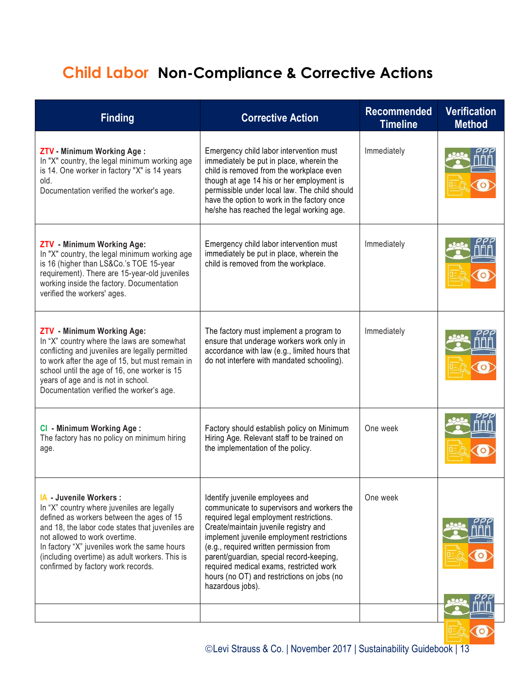# **Child Labor Non-Compliance & Corrective Actions**

| ZTV - Minimum Working Age:<br>Emergency child labor intervention must<br>Immediately<br>In "X" country, the legal minimum working age<br>immediately be put in place, wherein the<br>is 14. One worker in factory "X" is 14 years<br>child is removed from the workplace even<br>though at age 14 his or her employment is<br>old.<br>permissible under local law. The child should<br>Documentation verified the worker's age.<br>have the option to work in the factory once<br>he/she has reached the legal working age.<br>Emergency child labor intervention must<br>Immediately<br><b>ZTV</b> - Minimum Working Age:<br>immediately be put in place, wherein the<br>In "X" country, the legal minimum working age<br>is 16 (higher than LS&Co.'s TOE 15-year<br>child is removed from the workplace.<br>requirement). There are 15-year-old juveniles<br>working inside the factory. Documentation<br>verified the workers' ages.<br>Immediately<br><b>ZTV</b> - Minimum Working Age:<br>The factory must implement a program to<br>In "X" country where the laws are somewhat<br>ensure that underage workers work only in<br>conflicting and juveniles are legally permitted<br>accordance with law (e.g., limited hours that<br>to work after the age of 15, but must remain in<br>do not interfere with mandated schooling).<br>school until the age of 16, one worker is 15<br>years of age and is not in school.<br>Documentation verified the worker's age. | <b>Finding</b> | <b>Corrective Action</b> | <b>Recommended</b><br><b>Timeline</b> | <b>Verification</b><br><b>Method</b> |
|--------------------------------------------------------------------------------------------------------------------------------------------------------------------------------------------------------------------------------------------------------------------------------------------------------------------------------------------------------------------------------------------------------------------------------------------------------------------------------------------------------------------------------------------------------------------------------------------------------------------------------------------------------------------------------------------------------------------------------------------------------------------------------------------------------------------------------------------------------------------------------------------------------------------------------------------------------------------------------------------------------------------------------------------------------------------------------------------------------------------------------------------------------------------------------------------------------------------------------------------------------------------------------------------------------------------------------------------------------------------------------------------------------------------------------------------------------------------------|----------------|--------------------------|---------------------------------------|--------------------------------------|
|                                                                                                                                                                                                                                                                                                                                                                                                                                                                                                                                                                                                                                                                                                                                                                                                                                                                                                                                                                                                                                                                                                                                                                                                                                                                                                                                                                                                                                                                          |                |                          |                                       |                                      |
|                                                                                                                                                                                                                                                                                                                                                                                                                                                                                                                                                                                                                                                                                                                                                                                                                                                                                                                                                                                                                                                                                                                                                                                                                                                                                                                                                                                                                                                                          |                |                          |                                       |                                      |
|                                                                                                                                                                                                                                                                                                                                                                                                                                                                                                                                                                                                                                                                                                                                                                                                                                                                                                                                                                                                                                                                                                                                                                                                                                                                                                                                                                                                                                                                          |                |                          |                                       |                                      |
| One week<br>CI - Minimum Working Age:<br>Factory should establish policy on Minimum<br>The factory has no policy on minimum hiring<br>Hiring Age. Relevant staff to be trained on<br>the implementation of the policy.<br>age.                                                                                                                                                                                                                                                                                                                                                                                                                                                                                                                                                                                                                                                                                                                                                                                                                                                                                                                                                                                                                                                                                                                                                                                                                                           |                |                          |                                       |                                      |
| Identify juvenile employees and<br>One week<br>IA - Juvenile Workers :<br>In "X" country where juveniles are legally<br>communicate to supervisors and workers the<br>required legal employment restrictions.<br>defined as workers between the ages of 15<br>and 18, the labor code states that juveniles are<br>Create/maintain juvenile registry and<br>not allowed to work overtime.<br>implement juvenile employment restrictions<br>In factory "X" juveniles work the same hours<br>(e.g., required written permission from<br>parent/guardian, special record-keeping,<br>(including overtime) as adult workers. This is<br>required medical exams, restricted work<br>confirmed by factory work records.<br>hours (no OT) and restrictions on jobs (no<br>hazardous jobs).                                                                                                                                                                                                                                                                                                                                                                                                                                                                                                                                                                                                                                                                                       |                |                          |                                       |                                      |
|                                                                                                                                                                                                                                                                                                                                                                                                                                                                                                                                                                                                                                                                                                                                                                                                                                                                                                                                                                                                                                                                                                                                                                                                                                                                                                                                                                                                                                                                          |                |                          |                                       |                                      |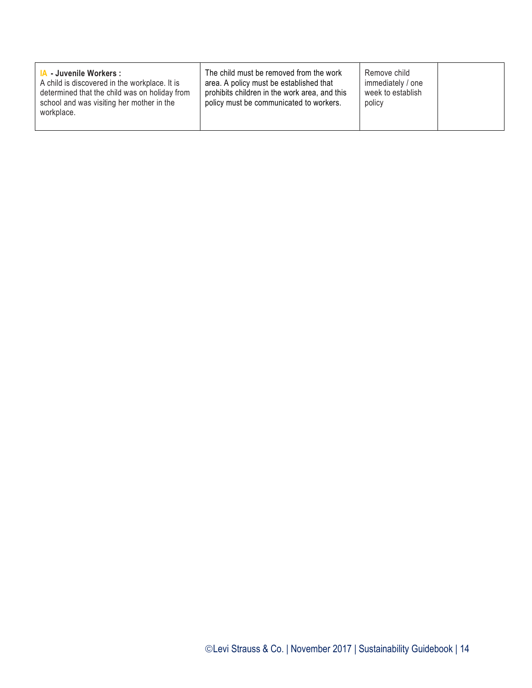| <b>A</b> Juvenile Workers:<br>A child is discovered in the workplace. It is<br>determined that the child was on holiday from<br>school and was visiting her mother in the<br>workplace. | The child must be removed from the work<br>area. A policy must be established that<br>prohibits children in the work area, and this<br>policy must be communicated to workers. | Remove child<br>immediately / one<br>week to establish<br>policy |  |
|-----------------------------------------------------------------------------------------------------------------------------------------------------------------------------------------|--------------------------------------------------------------------------------------------------------------------------------------------------------------------------------|------------------------------------------------------------------|--|
|                                                                                                                                                                                         |                                                                                                                                                                                |                                                                  |  |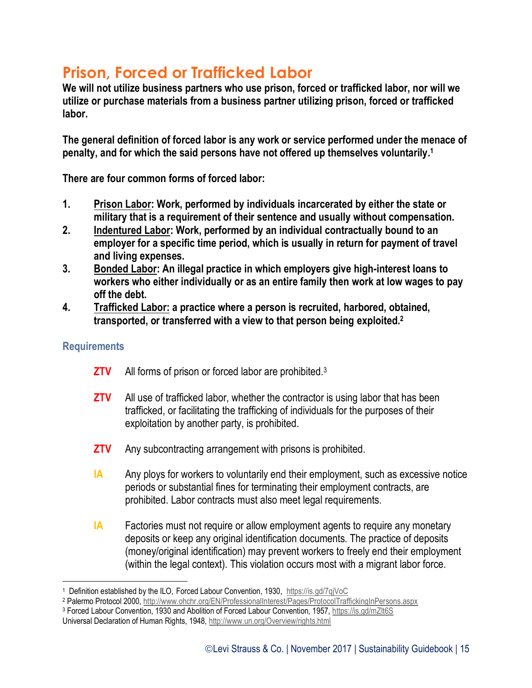### **Prison, Forced or Trafficked Labor**

**We will not utilize business partners who use prison, forced or trafficked labor, nor will we utilize or purchase materials from a business partner utilizing prison, forced or trafficked labor.**

**The general definition of forced labor is any work or service performed under the menace of penalty, and for which the said persons have not offered up themselves voluntarily. 1**

**There are four common forms of forced labor:**

- **1. Prison Labor: Work, performed by individuals incarcerated by either the state or military that is a requirement of their sentence and usually without compensation.**
- **2. Indentured Labor: Work, performed by an individual contractually bound to an employer for a specific time period, which is usually in return for payment of travel and living expenses.**
- **3. Bonded Labor: An illegal practice in which employers give high-interest loans to workers who either individually or as an entire family then work at low wages to pay off the debt.**
- **4. Trafficked Labor: a practice where a person is recruited, harbored, obtained, transported, or transferred with a view to that person being exploited.<sup>2</sup>**

#### **Requirements**

 $\overline{a}$ 

- **ZTV** All forms of prison or forced labor are prohibited.<sup>3</sup>
- **ZTV** All use of trafficked labor, whether the contractor is using labor that has been trafficked, or facilitating the trafficking of individuals for the purposes of their exploitation by another party, is prohibited.
- **ZTV** Any subcontracting arrangement with prisons is prohibited.
- **IA** Any ploys for workers to voluntarily end their employment, such as excessive notice periods or substantial fines for terminating their employment contracts, are prohibited. Labor contracts must also meet legal requirements.
- **IA** Factories must not require or allow employment agents to require any monetary deposits or keep any original identification documents. The practice of deposits (money/original identification) may prevent workers to freely end their employment (within the legal context). This violation occurs most with a migrant labor force.

<sup>1</sup> Definition established by the ILO, Forced Labour Convention, 1930,<https://is.gd/7qjVoC>

<sup>2</sup> Palermo Protocol 2000,<http://www.ohchr.org/EN/ProfessionalInterest/Pages/ProtocolTraffickingInPersons.aspx>

<sup>3</sup> Forced Labour Convention, 1930 and Abolition of Forced Labour Convention, 1957, <https://is.gd/mZlt6S>

Universal Declaration of Human Rights, 1948[, http://www.un.org/Overview/rights.html](http://www.un.org/Overview/rights.html)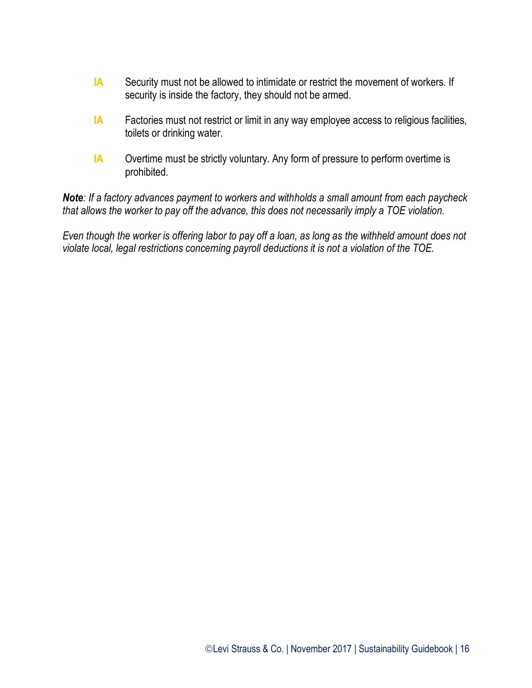- **IA** Security must not be allowed to intimidate or restrict the movement of workers. If security is inside the factory, they should not be armed.
- **IA** Factories must not restrict or limit in any way employee access to religious facilities, toilets or drinking water.
- **IA** Overtime must be strictly voluntary. Any form of pressure to perform overtime is prohibited.

*Note: If a factory advances payment to workers and withholds a small amount from each paycheck that allows the worker to pay off the advance, this does not necessarily imply a TOE violation.*

*Even though the worker is offering labor to pay off a loan, as long as the withheld amount does not violate local, legal restrictions concerning payroll deductions it is not a violation of the TOE.*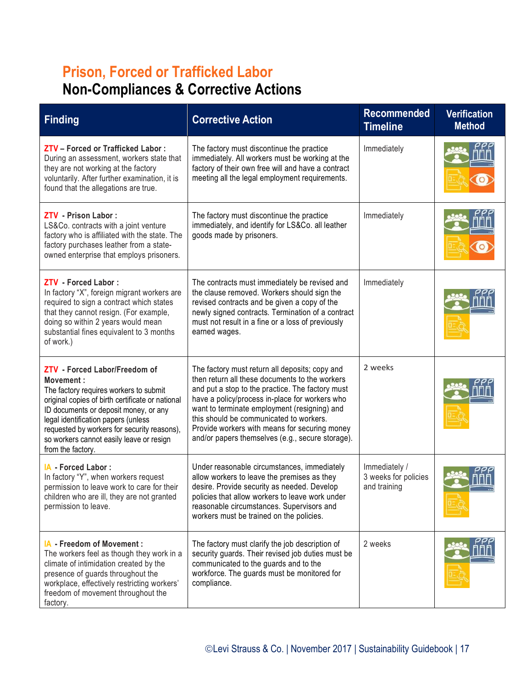## **Prison, Forced or Trafficked Labor Non-Compliances & Corrective Actions**

| <b>Finding</b>                                                                                                                                                                                                                                                                                                                           | <b>Corrective Action</b>                                                                                                                                                                                                                                                                                                                                                                               | <b>Recommended</b><br><b>Timeline</b>                 | <b>Verification</b><br><b>Method</b> |
|------------------------------------------------------------------------------------------------------------------------------------------------------------------------------------------------------------------------------------------------------------------------------------------------------------------------------------------|--------------------------------------------------------------------------------------------------------------------------------------------------------------------------------------------------------------------------------------------------------------------------------------------------------------------------------------------------------------------------------------------------------|-------------------------------------------------------|--------------------------------------|
| ZTV - Forced or Trafficked Labor:<br>During an assessment, workers state that<br>they are not working at the factory<br>voluntarily. After further examination, it is<br>found that the allegations are true.                                                                                                                            | The factory must discontinue the practice<br>immediately. All workers must be working at the<br>factory of their own free will and have a contract<br>meeting all the legal employment requirements.                                                                                                                                                                                                   | Immediately                                           |                                      |
| <b>ZTV</b> - Prison Labor:<br>LS&Co. contracts with a joint venture<br>factory who is affiliated with the state. The<br>factory purchases leather from a state-<br>owned enterprise that employs prisoners.                                                                                                                              | The factory must discontinue the practice<br>immediately, and identify for LS&Co. all leather<br>goods made by prisoners.                                                                                                                                                                                                                                                                              | Immediately                                           |                                      |
| ZTV - Forced Labor :<br>In factory "X", foreign migrant workers are<br>required to sign a contract which states<br>that they cannot resign. (For example,<br>doing so within 2 years would mean<br>substantial fines equivalent to 3 months<br>of work.)                                                                                 | The contracts must immediately be revised and<br>the clause removed. Workers should sign the<br>revised contracts and be given a copy of the<br>newly signed contracts. Termination of a contract<br>must not result in a fine or a loss of previously<br>earned wages.                                                                                                                                | Immediately                                           |                                      |
| ZTV - Forced Labor/Freedom of<br>Movement:<br>The factory requires workers to submit<br>original copies of birth certificate or national<br>ID documents or deposit money, or any<br>legal identification papers (unless<br>requested by workers for security reasons),<br>so workers cannot easily leave or resign<br>from the factory. | The factory must return all deposits; copy and<br>then return all these documents to the workers<br>and put a stop to the practice. The factory must<br>have a policy/process in-place for workers who<br>want to terminate employment (resigning) and<br>this should be communicated to workers.<br>Provide workers with means for securing money<br>and/or papers themselves (e.g., secure storage). | 2 weeks                                               |                                      |
| IA - Forced Labor:<br>In factory "Y", when workers request<br>permission to leave work to care for their<br>children who are ill, they are not granted<br>permission to leave.                                                                                                                                                           | Under reasonable circumstances, immediately<br>allow workers to leave the premises as they<br>desire. Provide security as needed. Develop<br>policies that allow workers to leave work under<br>reasonable circumstances. Supervisors and<br>workers must be trained on the policies.                                                                                                                  | Immediately /<br>3 weeks for policies<br>and training |                                      |
| IA - Freedom of Movement :<br>The workers feel as though they work in a<br>climate of intimidation created by the<br>presence of guards throughout the<br>workplace, effectively restricting workers'<br>freedom of movement throughout the<br>factory.                                                                                  | The factory must clarify the job description of<br>security guards. Their revised job duties must be<br>communicated to the guards and to the<br>workforce. The guards must be monitored for<br>compliance.                                                                                                                                                                                            | 2 weeks                                               |                                      |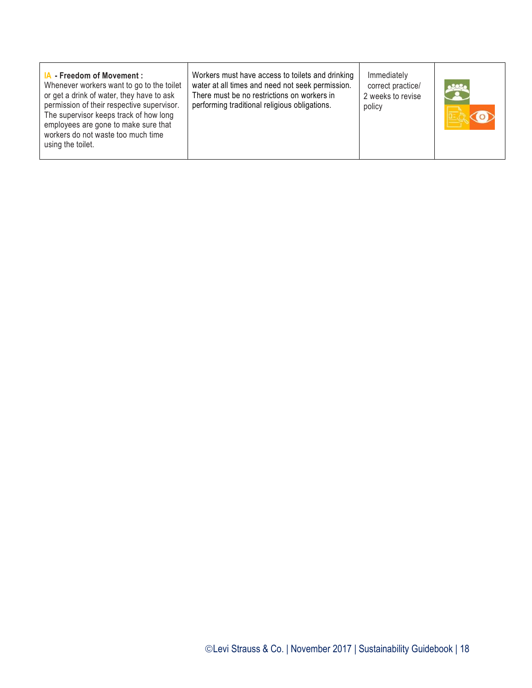| <b>IA</b> Freedom of Movement:<br>Whenever workers want to go to the toilet<br>or get a drink of water, they have to ask<br>permission of their respective supervisor.<br>The supervisor keeps track of how long<br>employees are gone to make sure that<br>workers do not waste too much time<br>using the toilet. | Workers must have access to toilets and drinking<br>water at all times and need not seek permission.<br>There must be no restrictions on workers in<br>performing traditional religious obligations. | Immediately<br>correct practice/<br>2 weeks to revise<br>policy |  |
|---------------------------------------------------------------------------------------------------------------------------------------------------------------------------------------------------------------------------------------------------------------------------------------------------------------------|------------------------------------------------------------------------------------------------------------------------------------------------------------------------------------------------------|-----------------------------------------------------------------|--|
|                                                                                                                                                                                                                                                                                                                     |                                                                                                                                                                                                      |                                                                 |  |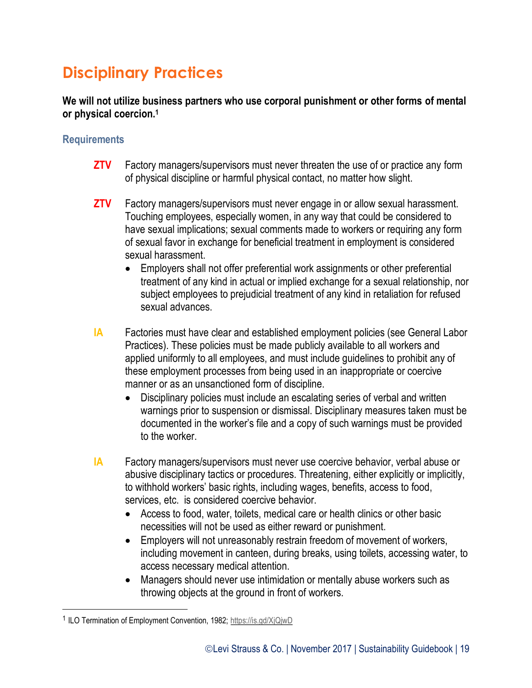# **Disciplinary Practices**

#### **We will not utilize business partners who use corporal punishment or other forms of mental or physical coercion.<sup>1</sup>**

#### **Requirements**

- **ZTV** Factory managers/supervisors must never threaten the use of or practice any form of physical discipline or harmful physical contact, no matter how slight.
- **ZTV** Factory managers/supervisors must never engage in or allow sexual harassment. Touching employees, especially women, in any way that could be considered to have sexual implications; sexual comments made to workers or requiring any form of sexual favor in exchange for beneficial treatment in employment is considered sexual harassment.
	- Employers shall not offer preferential work assignments or other preferential treatment of any kind in actual or implied exchange for a sexual relationship, nor subject employees to prejudicial treatment of any kind in retaliation for refused sexual advances.
- **IA** Factories must have clear and established employment policies (see General Labor Practices). These policies must be made publicly available to all workers and applied uniformly to all employees, and must include guidelines to prohibit any of these employment processes from being used in an inappropriate or coercive manner or as an unsanctioned form of discipline.
	- Disciplinary policies must include an escalating series of verbal and written warnings prior to suspension or dismissal. Disciplinary measures taken must be documented in the worker's file and a copy of such warnings must be provided to the worker.
- **IA** Factory managers/supervisors must never use coercive behavior, verbal abuse or abusive disciplinary tactics or procedures. Threatening, either explicitly or implicitly, to withhold workers' basic rights, including wages, benefits, access to food, services, etc. is considered coercive behavior.
	- Access to food, water, toilets, medical care or health clinics or other basic necessities will not be used as either reward or punishment.
	- Employers will not unreasonably restrain freedom of movement of workers, including movement in canteen, during breaks, using toilets, accessing water, to access necessary medical attention.
	- Managers should never use intimidation or mentally abuse workers such as throwing objects at the ground in front of workers.

 $\overline{a}$ 

<sup>&</sup>lt;sup>1</sup> ILO Termination of Employment Convention, 1982;<https://is.gd/XjQjwD>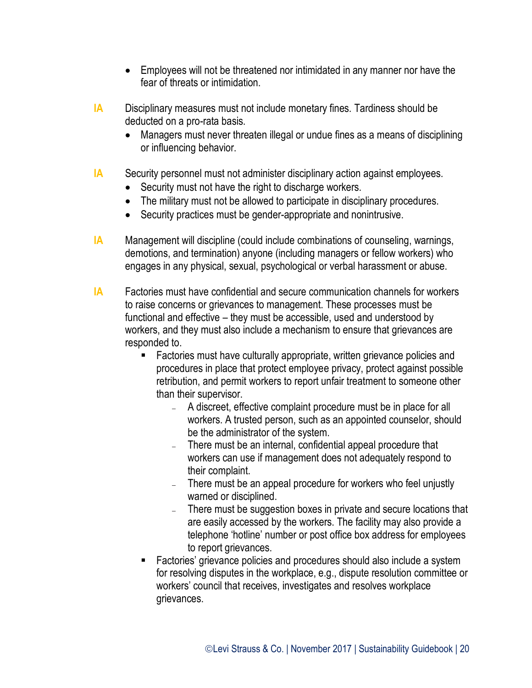- Employees will not be threatened nor intimidated in any manner nor have the fear of threats or intimidation.
- **IA** Disciplinary measures must not include monetary fines. Tardiness should be deducted on a pro-rata basis.
	- Managers must never threaten illegal or undue fines as a means of disciplining or influencing behavior.
- **IA** Security personnel must not administer disciplinary action against employees.
	- Security must not have the right to discharge workers.
	- The military must not be allowed to participate in disciplinary procedures.
	- Security practices must be gender-appropriate and nonintrusive.
- **IA** Management will discipline (could include combinations of counseling, warnings, demotions, and termination) anyone (including managers or fellow workers) who engages in any physical, sexual, psychological or verbal harassment or abuse.
- **IA** Factories must have confidential and secure communication channels for workers to raise concerns or grievances to management. These processes must be functional and effective – they must be accessible, used and understood by workers, and they must also include a mechanism to ensure that grievances are responded to.
	- Factories must have culturally appropriate, written grievance policies and procedures in place that protect employee privacy, protect against possible retribution, and permit workers to report unfair treatment to someone other than their supervisor.
		- A discreet, effective complaint procedure must be in place for all workers. A trusted person, such as an appointed counselor, should be the administrator of the system.
		- There must be an internal, confidential appeal procedure that workers can use if management does not adequately respond to their complaint.
		- There must be an appeal procedure for workers who feel unjustly warned or disciplined.
		- There must be suggestion boxes in private and secure locations that are easily accessed by the workers. The facility may also provide a telephone 'hotline' number or post office box address for employees to report grievances.
	- Factories' grievance policies and procedures should also include a system for resolving disputes in the workplace, e.g., dispute resolution committee or workers' council that receives, investigates and resolves workplace grievances.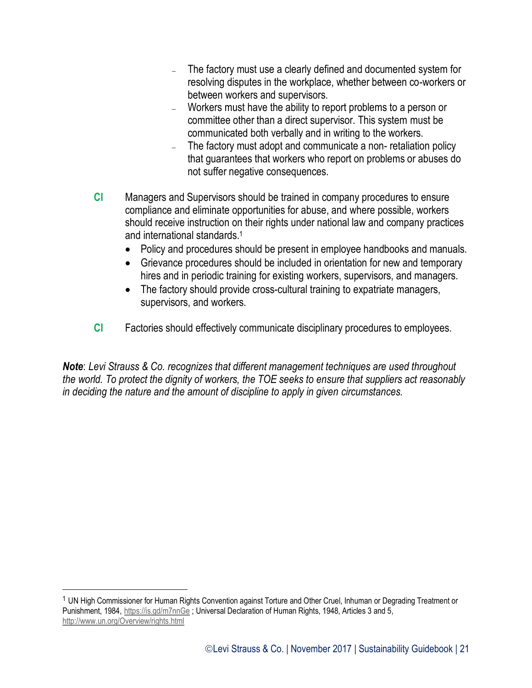- The factory must use a clearly defined and documented system for resolving disputes in the workplace, whether between co-workers or between workers and supervisors.
- Workers must have the ability to report problems to a person or committee other than a direct supervisor. This system must be communicated both verbally and in writing to the workers.
- The factory must adopt and communicate a non- retaliation policy that guarantees that workers who report on problems or abuses do not suffer negative consequences.
- **CI** Managers and Supervisors should be trained in company procedures to ensure compliance and eliminate opportunities for abuse, and where possible, workers should receive instruction on their rights under national law and company practices and international standards.<sup>1</sup>
	- Policy and procedures should be present in employee handbooks and manuals.
	- Grievance procedures should be included in orientation for new and temporary hires and in periodic training for existing workers, supervisors, and managers.
	- The factory should provide cross-cultural training to expatriate managers, supervisors, and workers.
- **CI** Factories should effectively communicate disciplinary procedures to employees.

*Note*: *Levi Strauss & Co. recognizes that different management techniques are used throughout the world. To protect the dignity of workers, the TOE seeks to ensure that suppliers act reasonably in deciding the nature and the amount of discipline to apply in given circumstances.*

 $\overline{a}$ 

<sup>1</sup> UN High Commissioner for Human Rights Convention against Torture and Other Cruel, Inhuman or Degrading Treatment or Punishment, 1984, <https://is.gd/m7nnGe>; Universal Declaration of Human Rights, 1948, Articles 3 and 5, <http://www.un.org/Overview/rights.html>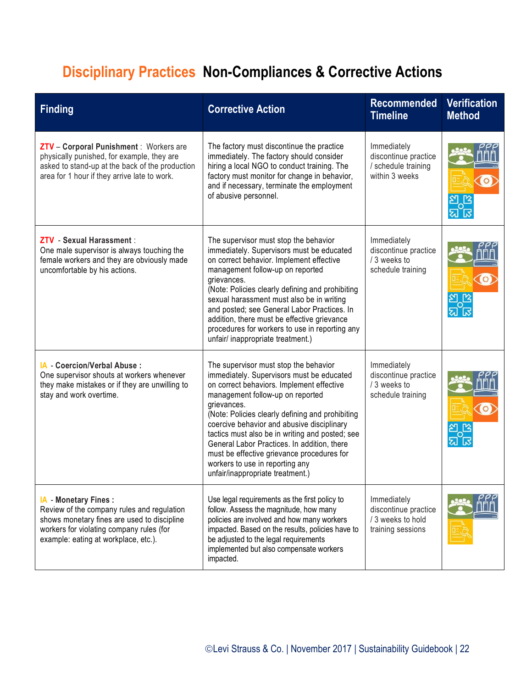# **Disciplinary Practices Non-Compliances & Corrective Actions**

| <b>Finding</b>                                                                                                                                                                                         | <b>Corrective Action</b>                                                                                                                                                                                                                                                                                                                                                                                                                                                                                    | <b>Recommended</b><br><b>Timeline</b>                                         | <b>Verification</b><br><b>Method</b> |
|--------------------------------------------------------------------------------------------------------------------------------------------------------------------------------------------------------|-------------------------------------------------------------------------------------------------------------------------------------------------------------------------------------------------------------------------------------------------------------------------------------------------------------------------------------------------------------------------------------------------------------------------------------------------------------------------------------------------------------|-------------------------------------------------------------------------------|--------------------------------------|
| ZTV - Corporal Punishment : Workers are<br>physically punished, for example, they are<br>asked to stand-up at the back of the production<br>area for 1 hour if they arrive late to work.               | The factory must discontinue the practice<br>immediately. The factory should consider<br>hiring a local NGO to conduct training. The<br>factory must monitor for change in behavior,<br>and if necessary, terminate the employment<br>of abusive personnel.                                                                                                                                                                                                                                                 | Immediately<br>discontinue practice<br>/ schedule training<br>within 3 weeks  |                                      |
| ZTV - Sexual Harassment :<br>One male supervisor is always touching the<br>female workers and they are obviously made<br>uncomfortable by his actions.                                                 | The supervisor must stop the behavior<br>immediately. Supervisors must be educated<br>on correct behavior. Implement effective<br>management follow-up on reported<br>grievances.<br>(Note: Policies clearly defining and prohibiting<br>sexual harassment must also be in writing<br>and posted; see General Labor Practices. In<br>addition, there must be effective grievance<br>procedures for workers to use in reporting any<br>unfair/ inappropriate treatment.)                                     | Immediately<br>discontinue practice<br>/ 3 weeks to<br>schedule training      |                                      |
| IA - Coercion/Verbal Abuse:<br>One supervisor shouts at workers whenever<br>they make mistakes or if they are unwilling to<br>stay and work overtime.                                                  | The supervisor must stop the behavior<br>immediately. Supervisors must be educated<br>on correct behaviors. Implement effective<br>management follow-up on reported<br>grievances.<br>(Note: Policies clearly defining and prohibiting<br>coercive behavior and abusive disciplinary<br>tactics must also be in writing and posted; see<br>General Labor Practices. In addition, there<br>must be effective grievance procedures for<br>workers to use in reporting any<br>unfair/inappropriate treatment.) | Immediately<br>discontinue practice<br>/ 3 weeks to<br>schedule training      |                                      |
| IA - Monetary Fines :<br>Review of the company rules and regulation<br>shows monetary fines are used to discipline<br>workers for violating company rules (for<br>example: eating at workplace, etc.). | Use legal requirements as the first policy to<br>follow. Assess the magnitude, how many<br>policies are involved and how many workers<br>impacted. Based on the results, policies have to<br>be adjusted to the legal requirements<br>implemented but also compensate workers<br>impacted.                                                                                                                                                                                                                  | Immediately<br>discontinue practice<br>/ 3 weeks to hold<br>training sessions |                                      |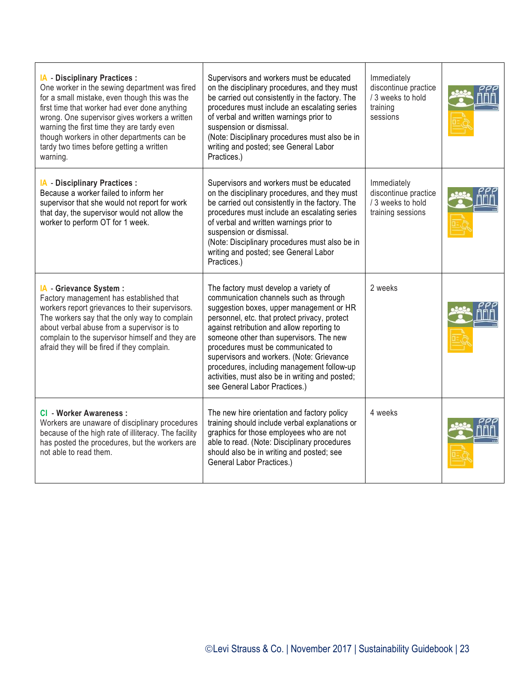| IA - Disciplinary Practices :<br>One worker in the sewing department was fired<br>for a small mistake, even though this was the<br>first time that worker had ever done anything<br>wrong. One supervisor gives workers a written<br>warning the first time they are tardy even<br>though workers in other departments can be<br>tardy two times before getting a written<br>warning. | Supervisors and workers must be educated<br>on the disciplinary procedures, and they must<br>be carried out consistently in the factory. The<br>procedures must include an escalating series<br>of verbal and written warnings prior to<br>suspension or dismissal.<br>(Note: Disciplinary procedures must also be in<br>writing and posted; see General Labor<br>Practices.)                                                                                                              | Immediately<br>discontinue practice<br>/ 3 weeks to hold<br>training<br>sessions |  |
|---------------------------------------------------------------------------------------------------------------------------------------------------------------------------------------------------------------------------------------------------------------------------------------------------------------------------------------------------------------------------------------|--------------------------------------------------------------------------------------------------------------------------------------------------------------------------------------------------------------------------------------------------------------------------------------------------------------------------------------------------------------------------------------------------------------------------------------------------------------------------------------------|----------------------------------------------------------------------------------|--|
| IA - Disciplinary Practices :<br>Because a worker failed to inform her<br>supervisor that she would not report for work<br>that day, the supervisor would not allow the<br>worker to perform OT for 1 week.                                                                                                                                                                           | Supervisors and workers must be educated<br>on the disciplinary procedures, and they must<br>be carried out consistently in the factory. The<br>procedures must include an escalating series<br>of verbal and written warnings prior to<br>suspension or dismissal.<br>(Note: Disciplinary procedures must also be in<br>writing and posted; see General Labor<br>Practices.)                                                                                                              | Immediately<br>discontinue practice<br>/ 3 weeks to hold<br>training sessions    |  |
| IA - Grievance System :<br>Factory management has established that<br>workers report grievances to their supervisors.<br>The workers say that the only way to complain<br>about verbal abuse from a supervisor is to<br>complain to the supervisor himself and they are<br>afraid they will be fired if they complain.                                                                | The factory must develop a variety of<br>communication channels such as through<br>suggestion boxes, upper management or HR<br>personnel, etc. that protect privacy, protect<br>against retribution and allow reporting to<br>someone other than supervisors. The new<br>procedures must be communicated to<br>supervisors and workers. (Note: Grievance<br>procedures, including management follow-up<br>activities, must also be in writing and posted;<br>see General Labor Practices.) | 2 weeks                                                                          |  |
| CI - Worker Awareness :<br>Workers are unaware of disciplinary procedures<br>because of the high rate of illiteracy. The facility<br>has posted the procedures, but the workers are<br>not able to read them.                                                                                                                                                                         | The new hire orientation and factory policy<br>training should include verbal explanations or<br>graphics for those employees who are not<br>able to read. (Note: Disciplinary procedures<br>should also be in writing and posted; see<br>General Labor Practices.)                                                                                                                                                                                                                        | 4 weeks                                                                          |  |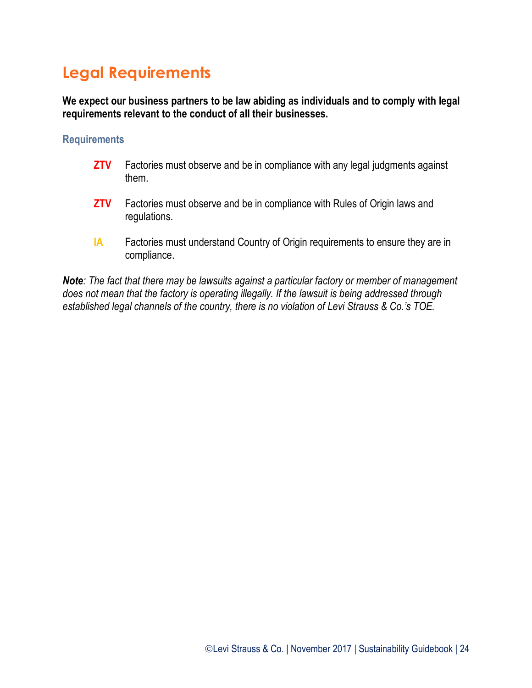## **Legal Requirements**

**We expect our business partners to be law abiding as individuals and to comply with legal requirements relevant to the conduct of all their businesses.**

#### **Requirements**

- **ZTV** Factories must observe and be in compliance with any legal judgments against them.
- **ZTV** Factories must observe and be in compliance with Rules of Origin laws and regulations.
- **IA** Factories must understand Country of Origin requirements to ensure they are in compliance.

*Note: The fact that there may be lawsuits against a particular factory or member of management does not mean that the factory is operating illegally. If the lawsuit is being addressed through established legal channels of the country, there is no violation of Levi Strauss & Co.'s TOE.*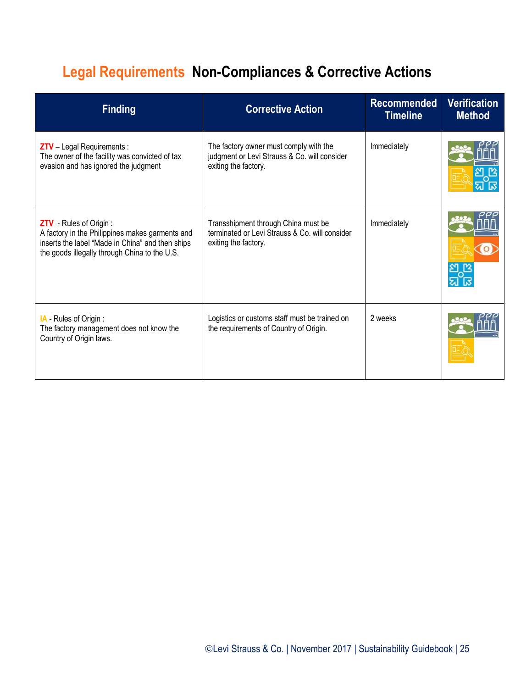# **Legal Requirements Non-Compliances & Corrective Actions**

| <b>Finding</b>                                                                                                                                                                         | <b>Corrective Action</b>                                                                                       | <b>Recommended</b><br><b>Timeline</b> | <b>Verification</b><br><b>Method</b> |
|----------------------------------------------------------------------------------------------------------------------------------------------------------------------------------------|----------------------------------------------------------------------------------------------------------------|---------------------------------------|--------------------------------------|
| <b>ZTV</b> - Legal Requirements :<br>The owner of the facility was convicted of tax<br>evasion and has ignored the judgment                                                            | The factory owner must comply with the<br>judgment or Levi Strauss & Co. will consider<br>exiting the factory. | Immediately                           |                                      |
| <b>ZTV</b> - Rules of Origin :<br>A factory in the Philippines makes garments and<br>inserts the label "Made in China" and then ships<br>the goods illegally through China to the U.S. | Transshipment through China must be<br>terminated or Levi Strauss & Co. will consider<br>exiting the factory.  | Immediately                           |                                      |
| IA Rules of Origin:<br>The factory management does not know the<br>Country of Origin laws.                                                                                             | Logistics or customs staff must be trained on<br>the requirements of Country of Origin.                        | 2 weeks                               |                                      |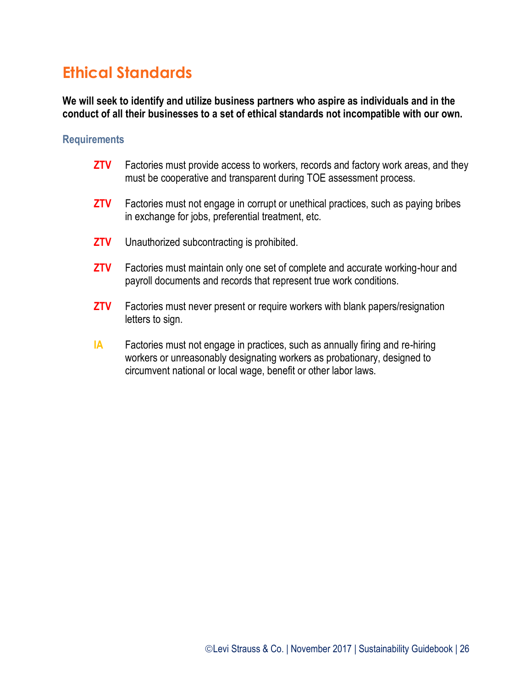### **Ethical Standards**

**We will seek to identify and utilize business partners who aspire as individuals and in the conduct of all their businesses to a set of ethical standards not incompatible with our own.**

#### **Requirements**

- **ZTV** Factories must provide access to workers, records and factory work areas, and they must be cooperative and transparent during TOE assessment process.
- **ZTV** Factories must not engage in corrupt or unethical practices, such as paying bribes in exchange for jobs, preferential treatment, etc.
- **ZTV** Unauthorized subcontracting is prohibited.
- **ZTV** Factories must maintain only one set of complete and accurate working-hour and payroll documents and records that represent true work conditions.
- **ZTV** Factories must never present or require workers with blank papers/resignation letters to sign.
- **IA** Factories must not engage in practices, such as annually firing and re-hiring workers or unreasonably designating workers as probationary, designed to circumvent national or local wage, benefit or other labor laws.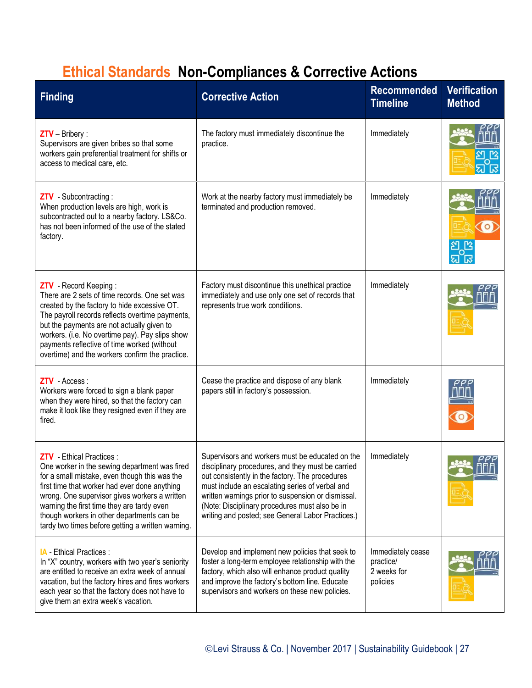# **Ethical Standards Non-Compliances & Corrective Actions**

| <b>Finding</b>                                                                                                                                                                                                                                                                                                                                                                        | <b>Corrective Action</b>                                                                                                                                                                                                                                                                                                                                                | <b>Recommended</b><br><b>Timeline</b>                     | <b>Verification</b><br><b>Method</b> |
|---------------------------------------------------------------------------------------------------------------------------------------------------------------------------------------------------------------------------------------------------------------------------------------------------------------------------------------------------------------------------------------|-------------------------------------------------------------------------------------------------------------------------------------------------------------------------------------------------------------------------------------------------------------------------------------------------------------------------------------------------------------------------|-----------------------------------------------------------|--------------------------------------|
| $ZTV - Bribery$ :<br>Supervisors are given bribes so that some<br>workers gain preferential treatment for shifts or<br>access to medical care, etc.                                                                                                                                                                                                                                   | The factory must immediately discontinue the<br>practice.                                                                                                                                                                                                                                                                                                               | Immediately                                               |                                      |
| ZTV - Subcontracting:<br>When production levels are high, work is<br>subcontracted out to a nearby factory. LS&Co.<br>has not been informed of the use of the stated<br>factory.                                                                                                                                                                                                      | Work at the nearby factory must immediately be<br>terminated and production removed.                                                                                                                                                                                                                                                                                    | Immediately                                               | $\circ$                              |
| ZTV - Record Keeping:<br>There are 2 sets of time records. One set was<br>created by the factory to hide excessive OT.<br>The payroll records reflects overtime payments,<br>but the payments are not actually given to<br>workers. (i.e. No overtime pay). Pay slips show<br>payments reflective of time worked (without<br>overtime) and the workers confirm the practice.          | Factory must discontinue this unethical practice<br>immediately and use only one set of records that<br>represents true work conditions.                                                                                                                                                                                                                                | Immediately                                               |                                      |
| ZTV - Access:<br>Workers were forced to sign a blank paper<br>when they were hired, so that the factory can<br>make it look like they resigned even if they are<br>fired.                                                                                                                                                                                                             | Cease the practice and dispose of any blank<br>papers still in factory's possession.                                                                                                                                                                                                                                                                                    | Immediately                                               |                                      |
| <b>ZTV</b> - Ethical Practices :<br>One worker in the sewing department was fired<br>for a small mistake, even though this was the<br>first time that worker had ever done anything<br>wrong. One supervisor gives workers a written<br>warning the first time they are tardy even<br>though workers in other departments can be<br>tardy two times before getting a written warning. | Supervisors and workers must be educated on the<br>disciplinary procedures, and they must be carried<br>out consistently in the factory. The procedures<br>must include an escalating series of verbal and<br>written warnings prior to suspension or dismissal.<br>(Note: Disciplinary procedures must also be in<br>writing and posted; see General Labor Practices.) | Immediately                                               |                                      |
| <b>IA</b> - Ethical Practices :<br>In "X" country, workers with two year's seniority<br>are entitled to receive an extra week of annual<br>vacation, but the factory hires and fires workers<br>each year so that the factory does not have to<br>give them an extra week's vacation.                                                                                                 | Develop and implement new policies that seek to<br>foster a long-term employee relationship with the<br>factory, which also will enhance product quality<br>and improve the factory's bottom line. Educate<br>supervisors and workers on these new policies.                                                                                                            | Immediately cease<br>practice/<br>2 weeks for<br>policies |                                      |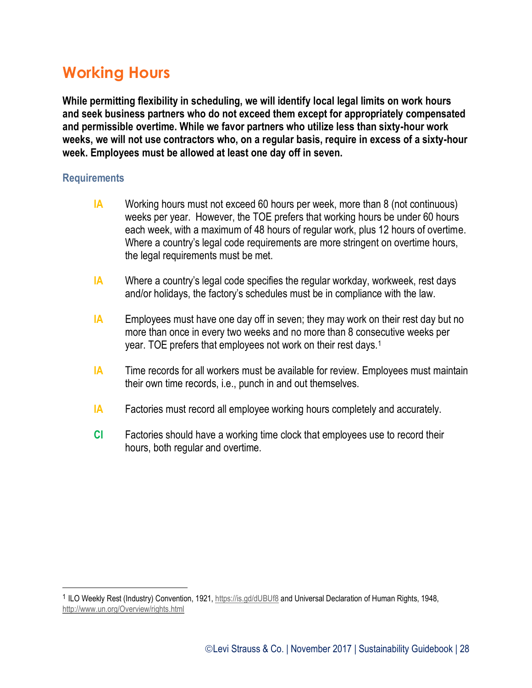### **Working Hours**

**While permitting flexibility in scheduling, we will identify local legal limits on work hours and seek business partners who do not exceed them except for appropriately compensated and permissible overtime. While we favor partners who utilize less than sixty-hour work weeks, we will not use contractors who, on a regular basis, require in excess of a sixty-hour week. Employees must be allowed at least one day off in seven.**

#### **Requirements**

 $\overline{a}$ 

- **IA** Working hours must not exceed 60 hours per week, more than 8 (not continuous) weeks per year. However, the TOE prefers that working hours be under 60 hours each week, with a maximum of 48 hours of regular work, plus 12 hours of overtime. Where a country's legal code requirements are more stringent on overtime hours, the legal requirements must be met.
- **IA** Where a country's legal code specifies the regular workday, workweek, rest days and/or holidays, the factory's schedules must be in compliance with the law.
- **IA** Employees must have one day off in seven; they may work on their rest day but no more than once in every two weeks and no more than 8 consecutive weeks per year. TOE prefers that employees not work on their rest days.<sup>1</sup>
- **IA** Time records for all workers must be available for review. Employees must maintain their own time records, i.e., punch in and out themselves.
- **IA** Factories must record all employee working hours completely and accurately.
- **CI** Factories should have a working time clock that employees use to record their hours, both regular and overtime.

<sup>&</sup>lt;sup>1</sup> ILO Weekly Rest (Industry) Convention, 1921,<https://is.gd/dUBUf8> and Universal Declaration of Human Rights, 1948, <http://www.un.org/Overview/rights.html>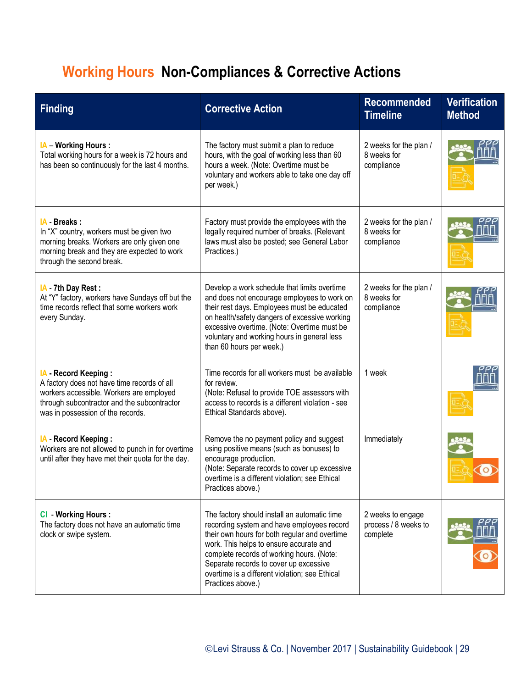# **Working Hours Non-Compliances & Corrective Actions**

| <b>Finding</b>                                                                                                                                                                                      | <b>Corrective Action</b>                                                                                                                                                                                                                                                                                                                             | <b>Recommended</b><br><b>Timeline</b>                 | <b>Verification</b><br><b>Method</b> |
|-----------------------------------------------------------------------------------------------------------------------------------------------------------------------------------------------------|------------------------------------------------------------------------------------------------------------------------------------------------------------------------------------------------------------------------------------------------------------------------------------------------------------------------------------------------------|-------------------------------------------------------|--------------------------------------|
| <b>IA</b> - Working Hours :<br>Total working hours for a week is 72 hours and<br>has been so continuously for the last 4 months.                                                                    | The factory must submit a plan to reduce<br>hours, with the goal of working less than 60<br>hours a week. (Note: Overtime must be<br>voluntary and workers able to take one day off<br>per week.)                                                                                                                                                    | 2 weeks for the plan /<br>8 weeks for<br>compliance   |                                      |
| IA - Breaks:<br>In "X" country, workers must be given two<br>morning breaks. Workers are only given one<br>morning break and they are expected to work<br>through the second break.                 | Factory must provide the employees with the<br>legally required number of breaks. (Relevant<br>laws must also be posted; see General Labor<br>Practices.)                                                                                                                                                                                            | 2 weeks for the plan /<br>8 weeks for<br>compliance   |                                      |
| IA 7th Day Rest:<br>At "Y" factory, workers have Sundays off but the<br>time records reflect that some workers work<br>every Sunday.                                                                | Develop a work schedule that limits overtime<br>and does not encourage employees to work on<br>their rest days. Employees must be educated<br>on health/safety dangers of excessive working<br>excessive overtime. (Note: Overtime must be<br>voluntary and working hours in general less<br>than 60 hours per week.)                                | 2 weeks for the plan /<br>8 weeks for<br>compliance   |                                      |
| IA - Record Keeping:<br>A factory does not have time records of all<br>workers accessible. Workers are employed<br>through subcontractor and the subcontractor<br>was in possession of the records. | Time records for all workers must be available<br>for review.<br>(Note: Refusal to provide TOE assessors with<br>access to records is a different violation - see<br>Ethical Standards above).                                                                                                                                                       | 1 week                                                |                                      |
| IA - Record Keeping:<br>Workers are not allowed to punch in for overtime<br>until after they have met their quota for the day.                                                                      | Remove the no payment policy and suggest<br>using positive means (such as bonuses) to<br>encourage production.<br>(Note: Separate records to cover up excessive<br>overtime is a different violation; see Ethical<br>Practices above.)                                                                                                               | Immediately                                           |                                      |
| <b>CI</b> - Working Hours :<br>The factory does not have an automatic time<br>clock or swipe system.                                                                                                | The factory should install an automatic time<br>recording system and have employees record<br>their own hours for both regular and overtime<br>work. This helps to ensure accurate and<br>complete records of working hours. (Note:<br>Separate records to cover up excessive<br>overtime is a different violation; see Ethical<br>Practices above.) | 2 weeks to engage<br>process / 8 weeks to<br>complete |                                      |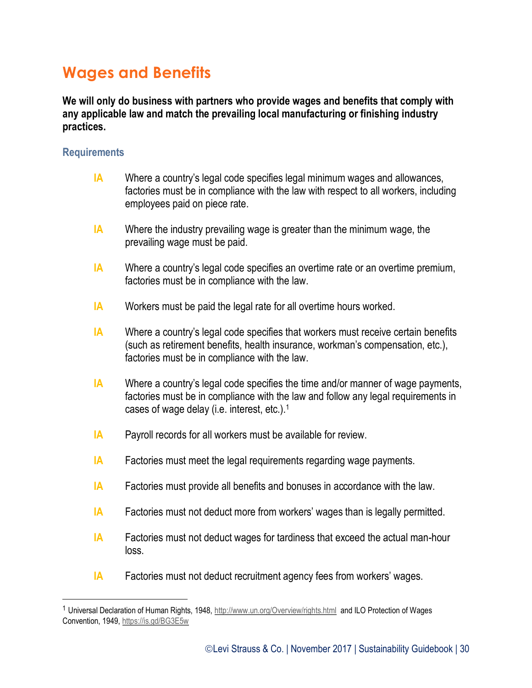### **Wages and Benefits**

**We will only do business with partners who provide wages and benefits that comply with any applicable law and match the prevailing local manufacturing or finishing industry practices.**

#### **Requirements**

 $\overline{a}$ 

- **IA** Where a country's legal code specifies legal minimum wages and allowances, factories must be in compliance with the law with respect to all workers, including employees paid on piece rate.
- **IA** Where the industry prevailing wage is greater than the minimum wage, the prevailing wage must be paid.
- **IA** Where a country's legal code specifies an overtime rate or an overtime premium, factories must be in compliance with the law.
- **IA** Workers must be paid the legal rate for all overtime hours worked.
- **IA** Where a country's legal code specifies that workers must receive certain benefits (such as retirement benefits, health insurance, workman's compensation, etc.), factories must be in compliance with the law.
- **IA** Where a country's legal code specifies the time and/or manner of wage payments, factories must be in compliance with the law and follow any legal requirements in cases of wage delay (i.e. interest, etc.).<sup>1</sup>
- **IA** Payroll records for all workers must be available for review.
- **IA** Factories must meet the legal requirements regarding wage payments.
- **IA** Factories must provide all benefits and bonuses in accordance with the law.
- **IA** Factories must not deduct more from workers' wages than is legally permitted.
- **IA** Factories must not deduct wages for tardiness that exceed the actual man-hour loss.
- **IA** Factories must not deduct recruitment agency fees from workers' wages.

<sup>1</sup> Universal Declaration of Human Rights, 1948,<http://www.un.org/Overview/rights.html> and ILO Protection of Wages Convention, 1949,<https://is.gd/BG3E5w>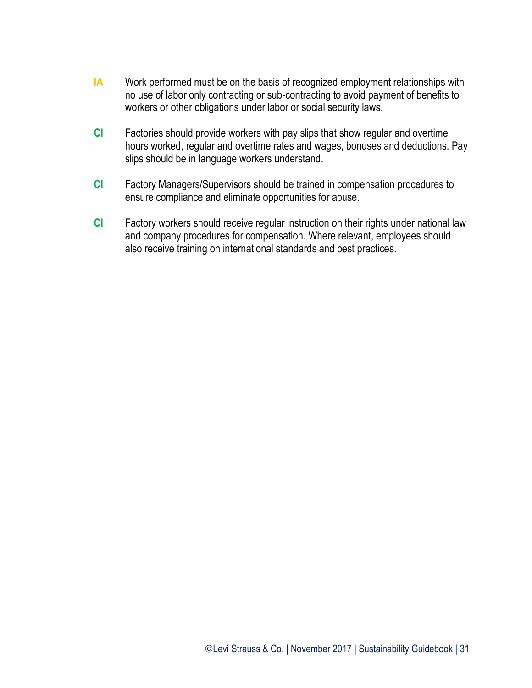- **IA** Work performed must be on the basis of recognized employment relationships with no use of labor only contracting or sub-contracting to avoid payment of benefits to workers or other obligations under labor or social security laws.
- **CI** Factories should provide workers with pay slips that show regular and overtime hours worked, regular and overtime rates and wages, bonuses and deductions. Pay slips should be in language workers understand.
- **CI** Factory Managers/Supervisors should be trained in compensation procedures to ensure compliance and eliminate opportunities for abuse.
- **CI** Factory workers should receive regular instruction on their rights under national law and company procedures for compensation. Where relevant, employees should also receive training on international standards and best practices.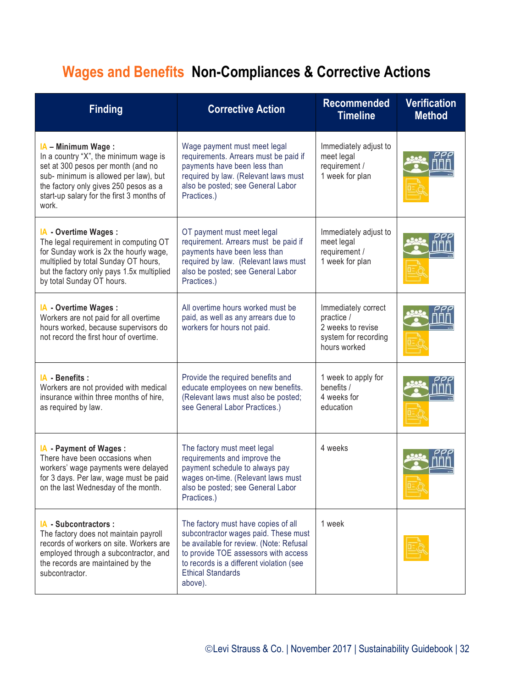# **Wages and Benefits Non-Compliances & Corrective Actions**

| <b>Finding</b>                                                                                                                                                                                                                            | <b>Corrective Action</b>                                                                                                                                                                                                                          | <b>Recommended</b><br><b>Timeline</b>                                                          | <b>Verification</b><br><b>Method</b> |
|-------------------------------------------------------------------------------------------------------------------------------------------------------------------------------------------------------------------------------------------|---------------------------------------------------------------------------------------------------------------------------------------------------------------------------------------------------------------------------------------------------|------------------------------------------------------------------------------------------------|--------------------------------------|
| IA - Minimum Wage:<br>In a country "X", the minimum wage is<br>set at 300 pesos per month (and no<br>sub- minimum is allowed per law), but<br>the factory only gives 250 pesos as a<br>start-up salary for the first 3 months of<br>work. | Wage payment must meet legal<br>requirements. Arrears must be paid if<br>payments have been less than<br>required by law. (Relevant laws must<br>also be posted; see General Labor<br>Practices.)                                                 | Immediately adjust to<br>meet legal<br>requirement /<br>1 week for plan                        |                                      |
| IA - Overtime Wages :<br>The legal requirement in computing OT<br>for Sunday work is 2x the hourly wage,<br>multiplied by total Sunday OT hours,<br>but the factory only pays 1.5x multiplied<br>by total Sunday OT hours.                | OT payment must meet legal<br>requirement. Arrears must be paid if<br>payments have been less than<br>required by law. (Relevant laws must<br>also be posted; see General Labor<br>Practices.)                                                    | Immediately adjust to<br>meet legal<br>requirement /<br>1 week for plan                        |                                      |
| IA - Overtime Wages :<br>Workers are not paid for all overtime<br>hours worked, because supervisors do<br>not record the first hour of overtime.                                                                                          | All overtime hours worked must be<br>paid, as well as any arrears due to<br>workers for hours not paid.                                                                                                                                           | Immediately correct<br>practice /<br>2 weeks to revise<br>system for recording<br>hours worked |                                      |
| IA - Benefits :<br>Workers are not provided with medical<br>insurance within three months of hire,<br>as required by law.                                                                                                                 | Provide the required benefits and<br>educate employees on new benefits.<br>(Relevant laws must also be posted;<br>see General Labor Practices.)                                                                                                   | 1 week to apply for<br>benefits /<br>4 weeks for<br>education                                  |                                      |
| IA - Payment of Wages :<br>There have been occasions when<br>workers' wage payments were delayed<br>for 3 days. Per law, wage must be paid<br>on the last Wednesday of the month.                                                         | The factory must meet legal<br>requirements and improve the<br>payment schedule to always pay<br>wages on-time. (Relevant laws must<br>also be posted; see General Labor<br>Practices.)                                                           | 4 weeks                                                                                        |                                      |
| IA Subcontractors :<br>The factory does not maintain payroll<br>records of workers on site. Workers are<br>employed through a subcontractor, and<br>the records are maintained by the<br>subcontractor.                                   | The factory must have copies of all<br>subcontractor wages paid. These must<br>be available for review. (Note: Refusal<br>to provide TOE assessors with access<br>to records is a different violation (see<br><b>Ethical Standards</b><br>above). | 1 week                                                                                         |                                      |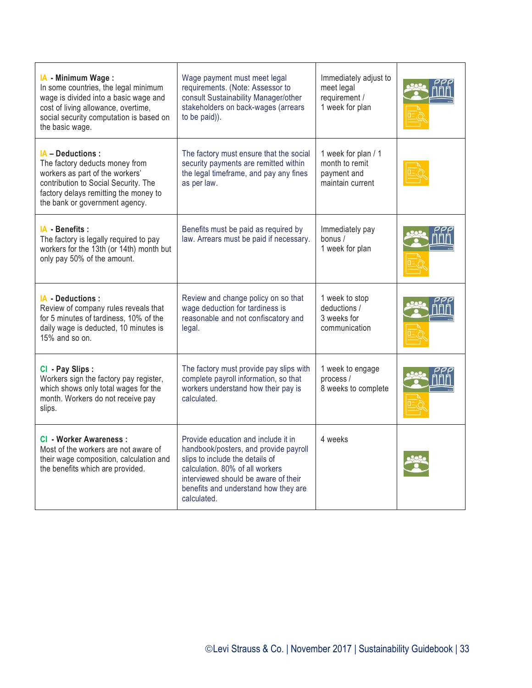| IA - Minimum Wage:<br>In some countries, the legal minimum<br>wage is divided into a basic wage and<br>cost of living allowance, overtime,<br>social security computation is based on<br>the basic wage.  | Wage payment must meet legal<br>requirements. (Note: Assessor to<br>consult Sustainability Manager/other<br>stakeholders on back-wages (arrears<br>to be paid)).                                                                                  | Immediately adjust to<br>meet legal<br>requirement /<br>1 week for plan  |  |
|-----------------------------------------------------------------------------------------------------------------------------------------------------------------------------------------------------------|---------------------------------------------------------------------------------------------------------------------------------------------------------------------------------------------------------------------------------------------------|--------------------------------------------------------------------------|--|
| IA - Deductions :<br>The factory deducts money from<br>workers as part of the workers'<br>contribution to Social Security. The<br>factory delays remitting the money to<br>the bank or government agency. | The factory must ensure that the social<br>security payments are remitted within<br>the legal timeframe, and pay any fines<br>as per law.                                                                                                         | 1 week for plan / 1<br>month to remit<br>payment and<br>maintain current |  |
| IA - Benefits :<br>The factory is legally required to pay<br>workers for the 13th (or 14th) month but<br>only pay 50% of the amount.                                                                      | Benefits must be paid as required by<br>law. Arrears must be paid if necessary.                                                                                                                                                                   | Immediately pay<br>bonus /<br>1 week for plan                            |  |
| IA - Deductions :<br>Review of company rules reveals that<br>for 5 minutes of tardiness, 10% of the<br>daily wage is deducted, 10 minutes is<br>$15%$ and so on.                                          | Review and change policy on so that<br>wage deduction for tardiness is<br>reasonable and not confiscatory and<br>legal.                                                                                                                           | 1 week to stop<br>deductions /<br>3 weeks for<br>communication           |  |
| CI - Pay Slips :<br>Workers sign the factory pay register,<br>which shows only total wages for the<br>month. Workers do not receive pay<br>slips.                                                         | The factory must provide pay slips with<br>complete payroll information, so that<br>workers understand how their pay is<br>calculated.                                                                                                            | 1 week to engage<br>process /<br>8 weeks to complete                     |  |
| <b>CI</b> - Worker Awareness :<br>Most of the workers are not aware of<br>their wage composition, calculation and<br>the benefits which are provided.                                                     | Provide education and include it in<br>handbook/posters, and provide payroll<br>slips to include the details of<br>calculation. 80% of all workers<br>interviewed should be aware of their<br>benefits and understand how they are<br>calculated. | 4 weeks                                                                  |  |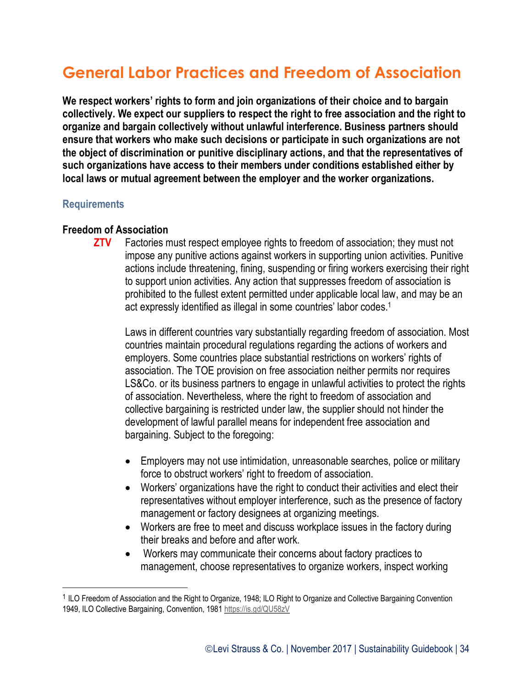## **General Labor Practices and Freedom of Association**

**We respect workers' rights to form and join organizations of their choice and to bargain collectively. We expect our suppliers to respect the right to free association and the right to organize and bargain collectively without unlawful interference. Business partners should ensure that workers who make such decisions or participate in such organizations are not the object of discrimination or punitive disciplinary actions, and that the representatives of such organizations have access to their members under conditions established either by local laws or mutual agreement between the employer and the worker organizations.**

#### **Requirements**

 $\overline{a}$ 

#### **Freedom of Association**

**ZTV** Factories must respect employee rights to freedom of association; they must not impose any punitive actions against workers in supporting union activities. Punitive actions include threatening, fining, suspending or firing workers exercising their right to support union activities. Any action that suppresses freedom of association is prohibited to the fullest extent permitted under applicable local law, and may be an act expressly identified as illegal in some countries' labor codes.<sup>1</sup>

Laws in different countries vary substantially regarding freedom of association. Most countries maintain procedural regulations regarding the actions of workers and employers. Some countries place substantial restrictions on workers' rights of association. The TOE provision on free association neither permits nor requires LS&Co. or its business partners to engage in unlawful activities to protect the rights of association. Nevertheless, where the right to freedom of association and collective bargaining is restricted under law, the supplier should not hinder the development of lawful parallel means for independent free association and bargaining. Subject to the foregoing:

- Employers may not use intimidation, unreasonable searches, police or military force to obstruct workers' right to freedom of association.
- Workers' organizations have the right to conduct their activities and elect their representatives without employer interference, such as the presence of factory management or factory designees at organizing meetings.
- Workers are free to meet and discuss workplace issues in the factory during their breaks and before and after work.
- Workers may communicate their concerns about factory practices to management, choose representatives to organize workers, inspect working

<sup>&</sup>lt;sup>1</sup> ILO Freedom of Association and the Right to Organize, 1948; ILO Right to Organize and Collective Bargaining Convention 1949, ILO Collective Bargaining, Convention, 1981 <https://is.gd/QU58zV>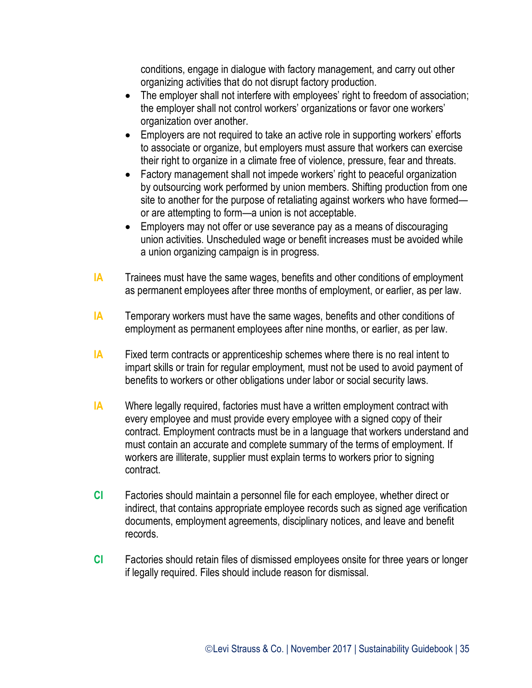conditions, engage in dialogue with factory management, and carry out other organizing activities that do not disrupt factory production.

- The employer shall not interfere with employees' right to freedom of association; the employer shall not control workers' organizations or favor one workers' organization over another.
- Employers are not required to take an active role in supporting workers' efforts to associate or organize, but employers must assure that workers can exercise their right to organize in a climate free of violence, pressure, fear and threats.
- Factory management shall not impede workers' right to peaceful organization by outsourcing work performed by union members. Shifting production from one site to another for the purpose of retaliating against workers who have formed or are attempting to form—a union is not acceptable.
- Employers may not offer or use severance pay as a means of discouraging union activities. Unscheduled wage or benefit increases must be avoided while a union organizing campaign is in progress.
- **IA** Trainees must have the same wages, benefits and other conditions of employment as permanent employees after three months of employment, or earlier, as per law.
- **IA** Temporary workers must have the same wages, benefits and other conditions of employment as permanent employees after nine months, or earlier, as per law.
- **IA** Fixed term contracts or apprenticeship schemes where there is no real intent to impart skills or train for regular employment, must not be used to avoid payment of benefits to workers or other obligations under labor or social security laws.
- **IA** Where legally required, factories must have a written employment contract with every employee and must provide every employee with a signed copy of their contract. Employment contracts must be in a language that workers understand and must contain an accurate and complete summary of the terms of employment. If workers are illiterate, supplier must explain terms to workers prior to signing contract.
- **CI** Factories should maintain a personnel file for each employee, whether direct or indirect, that contains appropriate employee records such as signed age verification documents, employment agreements, disciplinary notices, and leave and benefit records.
- **CI** Factories should retain files of dismissed employees onsite for three years or longer if legally required. Files should include reason for dismissal.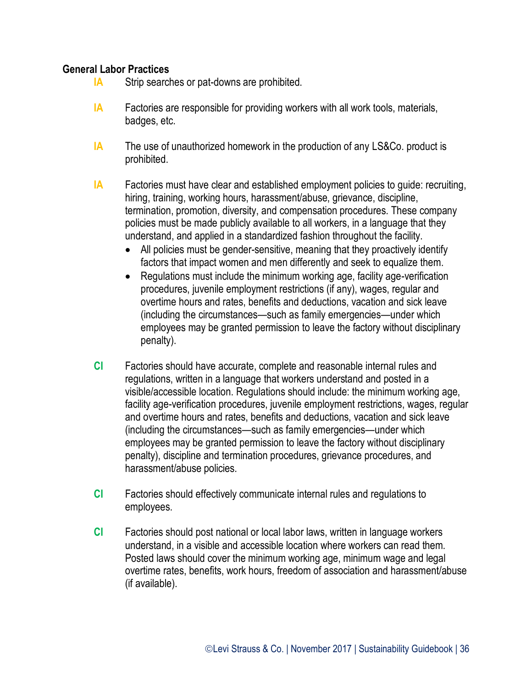#### **General Labor Practices**

- **IA** Strip searches or pat-downs are prohibited.
- **IA** Factories are responsible for providing workers with all work tools, materials, badges, etc.
- **IA** The use of unauthorized homework in the production of any LS&Co. product is prohibited.
- **IA** Factories must have clear and established employment policies to quide: recruiting, hiring, training, working hours, harassment/abuse, grievance, discipline, termination, promotion, diversity, and compensation procedures. These company policies must be made publicly available to all workers, in a language that they understand, and applied in a standardized fashion throughout the facility.
	- All policies must be gender-sensitive, meaning that they proactively identify factors that impact women and men differently and seek to equalize them.
	- Regulations must include the minimum working age, facility age-verification procedures, juvenile employment restrictions (if any), wages, regular and overtime hours and rates, benefits and deductions, vacation and sick leave (including the circumstances—such as family emergencies—under which employees may be granted permission to leave the factory without disciplinary penalty).
- **CI** Factories should have accurate, complete and reasonable internal rules and regulations, written in a language that workers understand and posted in a visible/accessible location. Regulations should include: the minimum working age, facility age-verification procedures, juvenile employment restrictions, wages, regular and overtime hours and rates, benefits and deductions, vacation and sick leave (including the circumstances—such as family emergencies—under which employees may be granted permission to leave the factory without disciplinary penalty), discipline and termination procedures, grievance procedures, and harassment/abuse policies.
- **CI** Factories should effectively communicate internal rules and regulations to employees.
- **CI** Factories should post national or local labor laws, written in language workers understand, in a visible and accessible location where workers can read them. Posted laws should cover the minimum working age, minimum wage and legal overtime rates, benefits, work hours, freedom of association and harassment/abuse (if available).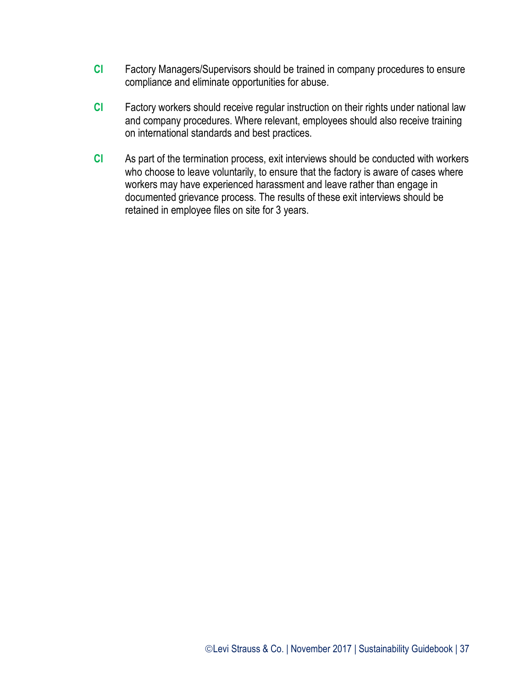- **CI** Factory Managers/Supervisors should be trained in company procedures to ensure compliance and eliminate opportunities for abuse.
- **CI** Factory workers should receive regular instruction on their rights under national law and company procedures. Where relevant, employees should also receive training on international standards and best practices.
- **CI** As part of the termination process, exit interviews should be conducted with workers who choose to leave voluntarily, to ensure that the factory is aware of cases where workers may have experienced harassment and leave rather than engage in documented grievance process. The results of these exit interviews should be retained in employee files on site for 3 years.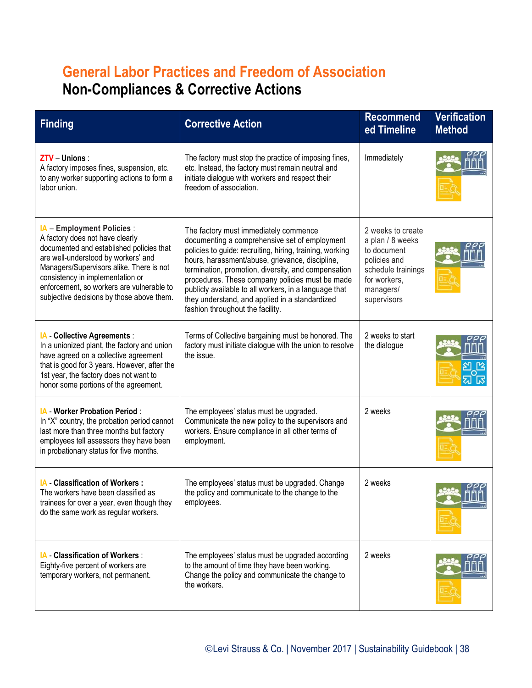## **General Labor Practices and Freedom of Association Non-Compliances & Corrective Actions**

| <b>Finding</b>                                                                                                                                                                                                                                                                                                             | <b>Corrective Action</b>                                                                                                                                                                                                                                                                                                                                                                                                                                       | <b>Recommend</b><br>ed Timeline                                                                                                        | <b>Verification</b><br><b>Method</b> |
|----------------------------------------------------------------------------------------------------------------------------------------------------------------------------------------------------------------------------------------------------------------------------------------------------------------------------|----------------------------------------------------------------------------------------------------------------------------------------------------------------------------------------------------------------------------------------------------------------------------------------------------------------------------------------------------------------------------------------------------------------------------------------------------------------|----------------------------------------------------------------------------------------------------------------------------------------|--------------------------------------|
| ZTV - Unions :<br>A factory imposes fines, suspension, etc.<br>to any worker supporting actions to form a<br>labor union.                                                                                                                                                                                                  | The factory must stop the practice of imposing fines,<br>etc. Instead, the factory must remain neutral and<br>initiate dialogue with workers and respect their<br>freedom of association.                                                                                                                                                                                                                                                                      | Immediately                                                                                                                            |                                      |
| IA - Employment Policies :<br>A factory does not have clearly<br>documented and established policies that<br>are well-understood by workers' and<br>Managers/Supervisors alike. There is not<br>consistency in implementation or<br>enforcement, so workers are vulnerable to<br>subjective decisions by those above them. | The factory must immediately commence<br>documenting a comprehensive set of employment<br>policies to guide: recruiting, hiring, training, working<br>hours, harassment/abuse, grievance, discipline,<br>termination, promotion, diversity, and compensation<br>procedures. These company policies must be made<br>publicly available to all workers, in a language that<br>they understand, and applied in a standardized<br>fashion throughout the facility. | 2 weeks to create<br>a plan / 8 weeks<br>to document<br>policies and<br>schedule trainings<br>for workers,<br>managers/<br>supervisors |                                      |
| <b>IA</b> - Collective Agreements :<br>In a unionized plant, the factory and union<br>have agreed on a collective agreement<br>that is good for 3 years. However, after the<br>1st year, the factory does not want to<br>honor some portions of the agreement.                                                             | Terms of Collective bargaining must be honored. The<br>factory must initiate dialogue with the union to resolve<br>the issue.                                                                                                                                                                                                                                                                                                                                  | 2 weeks to start<br>the dialogue                                                                                                       |                                      |
| <b>IA - Worker Probation Period:</b><br>In "X" country, the probation period cannot<br>last more than three months but factory<br>employees tell assessors they have been<br>in probationary status for five months.                                                                                                       | The employees' status must be upgraded.<br>Communicate the new policy to the supervisors and<br>workers. Ensure compliance in all other terms of<br>employment.                                                                                                                                                                                                                                                                                                | 2 weeks                                                                                                                                |                                      |
| IA - Classification of Workers:<br>The workers have been classified as<br>trainees for over a year, even though they<br>do the same work as regular workers.                                                                                                                                                               | The employees' status must be upgraded. Change<br>the policy and communicate to the change to the<br>employees.                                                                                                                                                                                                                                                                                                                                                | 2 weeks                                                                                                                                |                                      |
| <b>IA</b> - Classification of Workers :<br>Eighty-five percent of workers are<br>temporary workers, not permanent.                                                                                                                                                                                                         | The employees' status must be upgraded according<br>to the amount of time they have been working.<br>Change the policy and communicate the change to<br>the workers.                                                                                                                                                                                                                                                                                           | 2 weeks                                                                                                                                |                                      |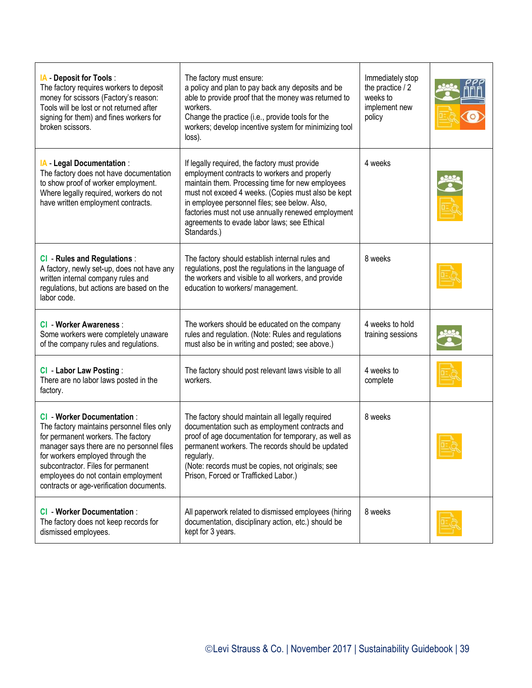| <b>IA</b> - Deposit for Tools :<br>The factory requires workers to deposit<br>money for scissors (Factory's reason:<br>Tools will be lost or not returned after<br>signing for them) and fines workers for<br>broken scissors.                                                                                                   | The factory must ensure:<br>a policy and plan to pay back any deposits and be<br>able to provide proof that the money was returned to<br>workers.<br>Change the practice (i.e., provide tools for the<br>workers; develop incentive system for minimizing tool<br>loss).                                                                                                     | Immediately stop<br>the practice / 2<br>weeks to<br>implement new<br>policy |  |
|----------------------------------------------------------------------------------------------------------------------------------------------------------------------------------------------------------------------------------------------------------------------------------------------------------------------------------|------------------------------------------------------------------------------------------------------------------------------------------------------------------------------------------------------------------------------------------------------------------------------------------------------------------------------------------------------------------------------|-----------------------------------------------------------------------------|--|
| <b>IA</b> Legal Documentation:<br>The factory does not have documentation<br>to show proof of worker employment.<br>Where legally required, workers do not<br>have written employment contracts.                                                                                                                                 | If legally required, the factory must provide<br>employment contracts to workers and properly<br>maintain them. Processing time for new employees<br>must not exceed 4 weeks. (Copies must also be kept<br>in employee personnel files; see below. Also,<br>factories must not use annually renewed employment<br>agreements to evade labor laws; see Ethical<br>Standards.) | 4 weeks                                                                     |  |
| <b>CI</b> - Rules and Regulations :<br>A factory, newly set-up, does not have any<br>written internal company rules and<br>regulations, but actions are based on the<br>labor code.                                                                                                                                              | The factory should establish internal rules and<br>regulations, post the regulations in the language of<br>the workers and visible to all workers, and provide<br>education to workers/ management.                                                                                                                                                                          | 8 weeks                                                                     |  |
| <b>CI</b> - Worker Awareness :<br>Some workers were completely unaware<br>of the company rules and regulations.                                                                                                                                                                                                                  | The workers should be educated on the company<br>rules and regulation. (Note: Rules and regulations<br>must also be in writing and posted; see above.)                                                                                                                                                                                                                       | 4 weeks to hold<br>training sessions                                        |  |
| <b>CI - Labor Law Posting:</b><br>There are no labor laws posted in the<br>factory.                                                                                                                                                                                                                                              | The factory should post relevant laws visible to all<br>workers.                                                                                                                                                                                                                                                                                                             | 4 weeks to<br>complete                                                      |  |
| <b>CI</b> - Worker Documentation :<br>The factory maintains personnel files only<br>for permanent workers. The factory<br>manager says there are no personnel files<br>for workers employed through the<br>subcontractor. Files for permanent<br>employees do not contain employment<br>contracts or age-verification documents. | The factory should maintain all legally required<br>documentation such as employment contracts and<br>proof of age documentation for temporary, as well as<br>permanent workers. The records should be updated<br>regularly.<br>(Note: records must be copies, not originals; see<br>Prison, Forced or Trafficked Labor.)                                                    | 8 weeks                                                                     |  |
| <b>CI</b> - Worker Documentation:<br>The factory does not keep records for<br>dismissed employees.                                                                                                                                                                                                                               | All paperwork related to dismissed employees (hiring<br>documentation, disciplinary action, etc.) should be<br>kept for 3 years.                                                                                                                                                                                                                                             | 8 weeks                                                                     |  |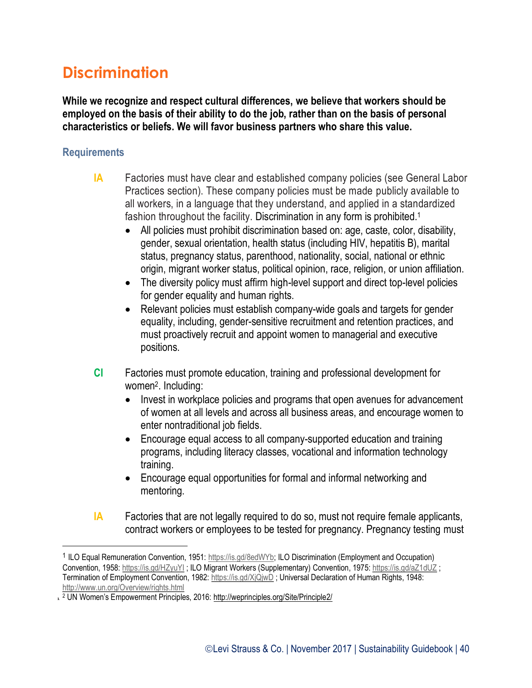## **Discrimination**

**While we recognize and respect cultural differences, we believe that workers should be employed on the basis of their ability to do the job, rather than on the basis of personal characteristics or beliefs. We will favor business partners who share this value.**

#### **Requirements**

l

- **IA** Factories must have clear and established company policies (see General Labor Practices section). These company policies must be made publicly available to all workers, in a language that they understand, and applied in a standardized fashion throughout the facility. Discrimination in any form is prohibited.<sup>1</sup>
	- All policies must prohibit discrimination based on: age, caste, color, disability, gender, sexual orientation, health status (including HIV, hepatitis B), marital status, pregnancy status, parenthood, nationality, social, national or ethnic origin, migrant worker status, political opinion, race, religion, or union affiliation.
	- The diversity policy must affirm high-level support and direct top-level policies for gender equality and human rights.
	- Relevant policies must establish company-wide goals and targets for gender equality, including, gender-sensitive recruitment and retention practices, and must proactively recruit and appoint women to managerial and executive positions.
- **CI** Factories must promote education, training and professional development for women<sup>2</sup> . Including:
	- Invest in workplace policies and programs that open avenues for advancement of women at all levels and across all business areas, and encourage women to enter nontraditional job fields.
	- Encourage equal access to all company-supported education and training programs, including literacy classes, vocational and information technology training.
	- Encourage equal opportunities for formal and informal networking and mentoring.
- **IA** Factories that are not legally required to do so, must not require female applicants, contract workers or employees to be tested for pregnancy. Pregnancy testing must

<sup>&</sup>lt;sup>1</sup> ILO Equal Remuneration Convention, 1951: [https://is.gd/8edWYb;](https://is.gd/8edWYb) ILO Discrimination (Employment and Occupation) Convention, 1958:<https://is.gd/HZyuYI>; ILO Migrant Workers (Supplementary) Convention, 1975:<https://is.gd/aZ1dUZ>; Termination of Employment Convention, 1982:<https://is.gd/XjQjwD> ; Universal Declaration of Human Rights, 1948: <http://www.un.org/Overview/rights.html>

**<sup>1</sup>** <sup>2</sup> UN Women's Empowerment Principles, 2016: <http://weprinciples.org/Site/Principle2/>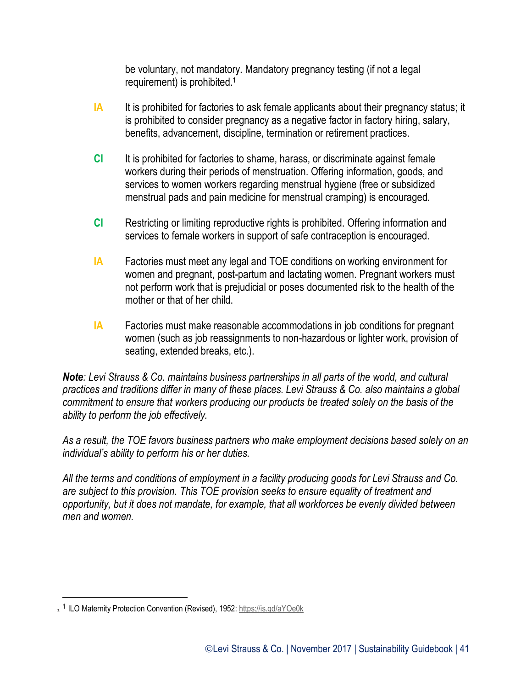be voluntary, not mandatory. Mandatory pregnancy testing (if not a legal requirement) is prohibited.<sup>1</sup>

- **IA** It is prohibited for factories to ask female applicants about their pregnancy status; it is prohibited to consider pregnancy as a negative factor in factory hiring, salary, benefits, advancement, discipline, termination or retirement practices.
- **CI** It is prohibited for factories to shame, harass, or discriminate against female workers during their periods of menstruation. Offering information, goods, and services to women workers regarding menstrual hygiene (free or subsidized menstrual pads and pain medicine for menstrual cramping) is encouraged.
- **CI** Restricting or limiting reproductive rights is prohibited. Offering information and services to female workers in support of safe contraception is encouraged.
- **IA** Factories must meet any legal and TOE conditions on working environment for women and pregnant, post-partum and lactating women. Pregnant workers must not perform work that is prejudicial or poses documented risk to the health of the mother or that of her child.
- **IA** Factories must make reasonable accommodations in job conditions for pregnant women (such as job reassignments to non-hazardous or lighter work, provision of seating, extended breaks, etc.).

*Note: Levi Strauss & Co. maintains business partnerships in all parts of the world, and cultural practices and traditions differ in many of these places. Levi Strauss & Co. also maintains a global commitment to ensure that workers producing our products be treated solely on the basis of the ability to perform the job effectively.*

*As a result, the TOE favors business partners who make employment decisions based solely on an individual's ability to perform his or her duties.*

*All the terms and conditions of employment in a facility producing goods for Levi Strauss and Co. are subject to this provision. This TOE provision seeks to ensure equality of treatment and opportunity, but it does not mandate, for example, that all workforces be evenly divided between men and women.*

 $\overline{a}$ 

<sup>&</sup>lt;sup>2</sup> ILO Maternity Protection Convention (Revised), 1952:<https://is.gd/aYOe0k>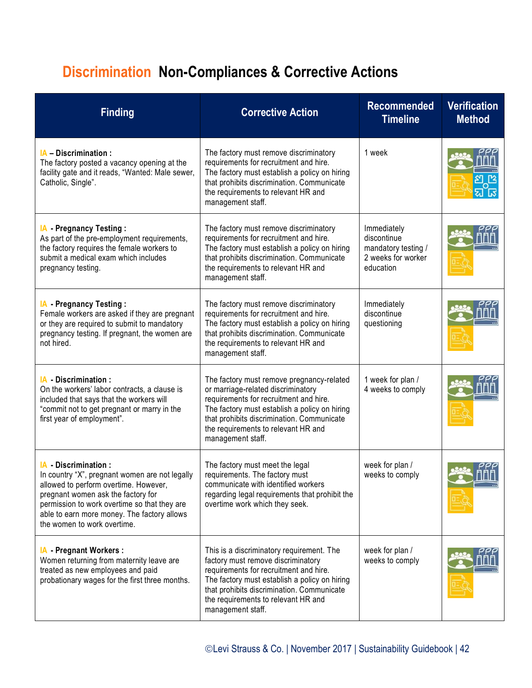# **Discrimination Non-Compliances & Corrective Actions**

| <b>Finding</b>                                                                                                                                                                                                                                                                    | <b>Corrective Action</b>                                                                                                                                                                                                                                                             | <b>Recommended</b><br><b>Timeline</b>                                                | <b>Verification</b><br><b>Method</b> |
|-----------------------------------------------------------------------------------------------------------------------------------------------------------------------------------------------------------------------------------------------------------------------------------|--------------------------------------------------------------------------------------------------------------------------------------------------------------------------------------------------------------------------------------------------------------------------------------|--------------------------------------------------------------------------------------|--------------------------------------|
| <b>IA</b> – Discrimination :<br>The factory posted a vacancy opening at the<br>facility gate and it reads, "Wanted: Male sewer,<br>Catholic, Single".                                                                                                                             | The factory must remove discriminatory<br>requirements for recruitment and hire.<br>The factory must establish a policy on hiring<br>that prohibits discrimination. Communicate<br>the requirements to relevant HR and<br>management staff.                                          | 1 week                                                                               |                                      |
| <b>IA</b> - Pregnancy Testing:<br>As part of the pre-employment requirements,<br>the factory requires the female workers to<br>submit a medical exam which includes<br>pregnancy testing.                                                                                         | The factory must remove discriminatory<br>requirements for recruitment and hire.<br>The factory must establish a policy on hiring<br>that prohibits discrimination. Communicate<br>the requirements to relevant HR and<br>management staff.                                          | Immediately<br>discontinue<br>mandatory testing /<br>2 weeks for worker<br>education |                                      |
| <b>IA</b> - Pregnancy Testing:<br>Female workers are asked if they are pregnant<br>or they are required to submit to mandatory<br>pregnancy testing. If pregnant, the women are<br>not hired.                                                                                     | The factory must remove discriminatory<br>requirements for recruitment and hire.<br>The factory must establish a policy on hiring<br>that prohibits discrimination. Communicate<br>the requirements to relevant HR and<br>management staff.                                          | Immediately<br>discontinue<br>questioning                                            |                                      |
| IA Discrimination:<br>On the workers' labor contracts, a clause is<br>included that says that the workers will<br>"commit not to get pregnant or marry in the<br>first year of employment".                                                                                       | The factory must remove pregnancy-related<br>or marriage-related discriminatory<br>requirements for recruitment and hire.<br>The factory must establish a policy on hiring<br>that prohibits discrimination. Communicate<br>the requirements to relevant HR and<br>management staff. | 1 week for plan /<br>4 weeks to comply                                               |                                      |
| IA Discrimination:<br>In country "X", pregnant women are not legally<br>allowed to perform overtime. However,<br>pregnant women ask the factory for<br>permission to work overtime so that they are<br>able to earn more money. The factory allows<br>the women to work overtime. | The factory must meet the legal<br>requirements. The factory must<br>communicate with identified workers<br>regarding legal requirements that prohibit the<br>overtime work which they seek.                                                                                         | week for plan /<br>weeks to comply                                                   |                                      |
| <b>IA</b> Pregnant Workers:<br>Women returning from maternity leave are<br>treated as new employees and paid<br>probationary wages for the first three months.                                                                                                                    | This is a discriminatory requirement. The<br>factory must remove discriminatory<br>requirements for recruitment and hire.<br>The factory must establish a policy on hiring<br>that prohibits discrimination. Communicate<br>the requirements to relevant HR and<br>management staff. | week for plan /<br>weeks to comply                                                   |                                      |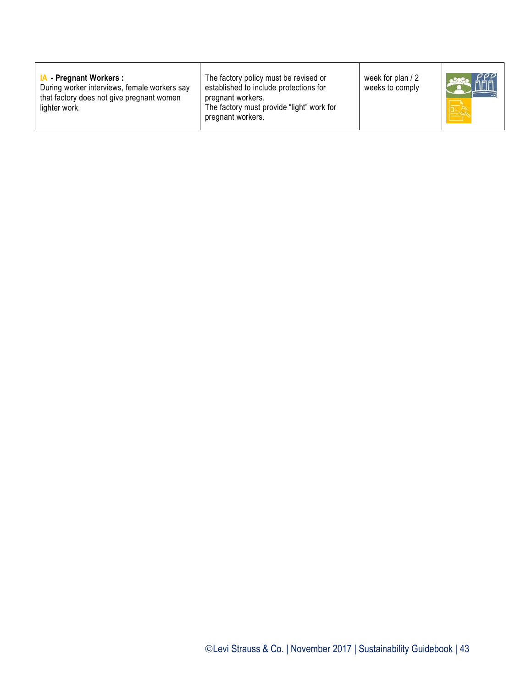| <b>IA</b> Pregnant Workers:<br>During worker interviews, female workers say<br>that factory does not give pregnant women<br>lighter work. | The factory policy must be revised or<br>established to include protections for<br>pregnant workers.<br>The factory must provide "light" work for<br>pregnant workers. | week for plan / 2<br>weeks to comply |  |
|-------------------------------------------------------------------------------------------------------------------------------------------|------------------------------------------------------------------------------------------------------------------------------------------------------------------------|--------------------------------------|--|
|-------------------------------------------------------------------------------------------------------------------------------------------|------------------------------------------------------------------------------------------------------------------------------------------------------------------------|--------------------------------------|--|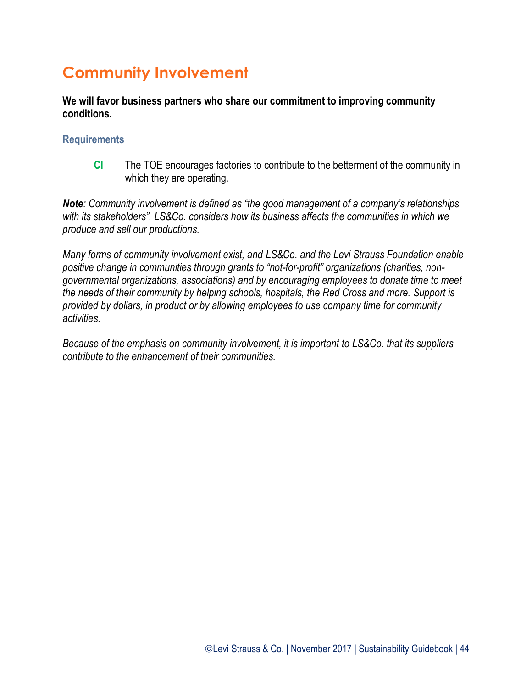# **Community Involvement**

**We will favor business partners who share our commitment to improving community conditions.**

#### **Requirements**

**CI** The TOE encourages factories to contribute to the betterment of the community in which they are operating.

*Note: Community involvement is defined as "the good management of a company's relationships with its stakeholders". LS&Co. considers how its business affects the communities in which we produce and sell our productions.*

*Many forms of community involvement exist, and LS&Co. and the Levi Strauss Foundation enable positive change in communities through grants to "not-for-profit" organizations (charities, nongovernmental organizations, associations) and by encouraging employees to donate time to meet the needs of their community by helping schools, hospitals, the Red Cross and more. Support is provided by dollars, in product or by allowing employees to use company time for community activities.*

*Because of the emphasis on community involvement, it is important to LS&Co. that its suppliers contribute to the enhancement of their communities.*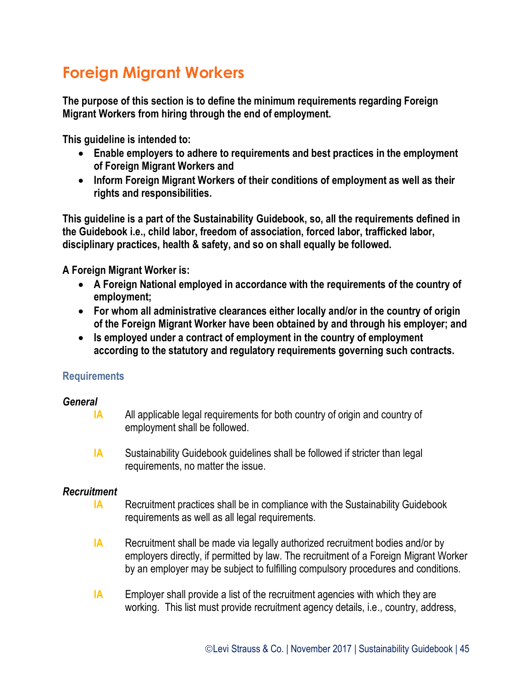# **Foreign Migrant Workers**

**The purpose of this section is to define the minimum requirements regarding Foreign Migrant Workers from hiring through the end of employment.**

**This guideline is intended to:**

- **Enable employers to adhere to requirements and best practices in the employment of Foreign Migrant Workers and**
- **Inform Foreign Migrant Workers of their conditions of employment as well as their rights and responsibilities.**

**This guideline is a part of the Sustainability Guidebook, so, all the requirements defined in the Guidebook i.e., child labor, freedom of association, forced labor, trafficked labor, disciplinary practices, health & safety, and so on shall equally be followed.**

**A Foreign Migrant Worker is:**

- **A Foreign National employed in accordance with the requirements of the country of employment;**
- **For whom all administrative clearances either locally and/or in the country of origin of the Foreign Migrant Worker have been obtained by and through his employer; and**
- **Is employed under a contract of employment in the country of employment according to the statutory and regulatory requirements governing such contracts.**

#### **Requirements**

#### *General*

- **IA** All applicable legal requirements for both country of origin and country of employment shall be followed.
- **IA** Sustainability Guidebook guidelines shall be followed if stricter than legal requirements, no matter the issue.

#### *Recruitment*

- **IA** Recruitment practices shall be in compliance with the Sustainability Guidebook requirements as well as all legal requirements.
- **IA** Recruitment shall be made via legally authorized recruitment bodies and/or by employers directly, if permitted by law. The recruitment of a Foreign Migrant Worker by an employer may be subject to fulfilling compulsory procedures and conditions.
- **IA** Employer shall provide a list of the recruitment agencies with which they are working. This list must provide recruitment agency details, i.e., country, address,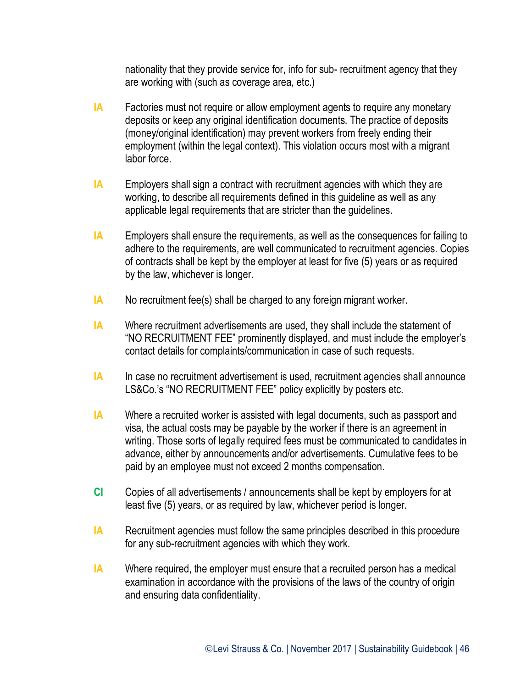nationality that they provide service for, info for sub- recruitment agency that they are working with (such as coverage area, etc.)

- **IA** Factories must not require or allow employment agents to require any monetary deposits or keep any original identification documents. The practice of deposits (money/original identification) may prevent workers from freely ending their employment (within the legal context). This violation occurs most with a migrant labor force.
- **IA** Employers shall sign a contract with recruitment agencies with which they are working, to describe all requirements defined in this guideline as well as any applicable legal requirements that are stricter than the guidelines.
- **IA** Employers shall ensure the requirements, as well as the consequences for failing to adhere to the requirements, are well communicated to recruitment agencies. Copies of contracts shall be kept by the employer at least for five (5) years or as required by the law, whichever is longer.
- **IA** No recruitment fee(s) shall be charged to any foreign migrant worker.
- **IA** Where recruitment advertisements are used, they shall include the statement of "NO RECRUITMENT FEE" prominently displayed, and must include the employer's contact details for complaints/communication in case of such requests.
- **IA** In case no recruitment advertisement is used, recruitment agencies shall announce LS&Co.'s "NO RECRUITMENT FEE" policy explicitly by posters etc.
- **IA** Where a recruited worker is assisted with legal documents, such as passport and visa, the actual costs may be payable by the worker if there is an agreement in writing. Those sorts of legally required fees must be communicated to candidates in advance, either by announcements and/or advertisements. Cumulative fees to be paid by an employee must not exceed 2 months compensation.
- **CI** Copies of all advertisements / announcements shall be kept by employers for at least five (5) years, or as required by law, whichever period is longer.
- **IA** Recruitment agencies must follow the same principles described in this procedure for any sub-recruitment agencies with which they work.
- **IA** Where required, the employer must ensure that a recruited person has a medical examination in accordance with the provisions of the laws of the country of origin and ensuring data confidentiality.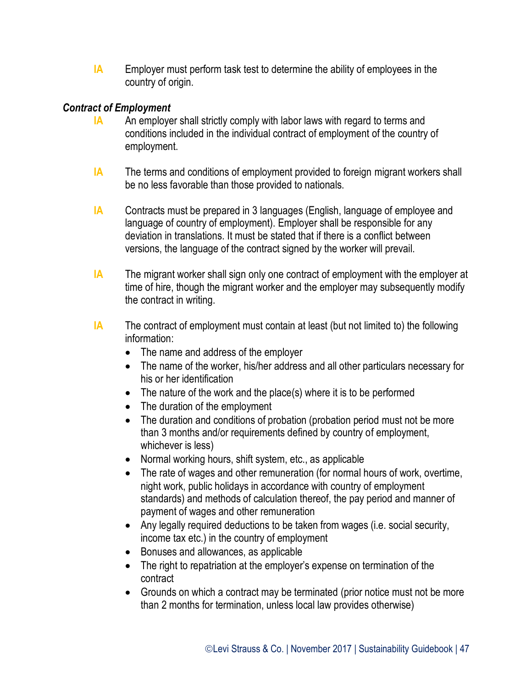**IA** Employer must perform task test to determine the ability of employees in the country of origin.

#### *Contract of Employment*

- **IA** An employer shall strictly comply with labor laws with regard to terms and conditions included in the individual contract of employment of the country of employment.
- **IA** The terms and conditions of employment provided to foreign migrant workers shall be no less favorable than those provided to nationals.
- **IA** Contracts must be prepared in 3 languages (English, language of employee and language of country of employment). Employer shall be responsible for any deviation in translations. It must be stated that if there is a conflict between versions, the language of the contract signed by the worker will prevail.
- **IA** The migrant worker shall sign only one contract of employment with the employer at time of hire, though the migrant worker and the employer may subsequently modify the contract in writing.
- **IA** The contract of employment must contain at least (but not limited to) the following information:
	- The name and address of the employer
	- The name of the worker, his/her address and all other particulars necessary for his or her identification
	- The nature of the work and the place(s) where it is to be performed
	- The duration of the employment
	- The duration and conditions of probation (probation period must not be more than 3 months and/or requirements defined by country of employment, whichever is less)
	- Normal working hours, shift system, etc., as applicable
	- The rate of wages and other remuneration (for normal hours of work, overtime, night work, public holidays in accordance with country of employment standards) and methods of calculation thereof, the pay period and manner of payment of wages and other remuneration
	- Any legally required deductions to be taken from wages (i.e. social security, income tax etc.) in the country of employment
	- Bonuses and allowances, as applicable
	- The right to repatriation at the employer's expense on termination of the contract
	- Grounds on which a contract may be terminated (prior notice must not be more than 2 months for termination, unless local law provides otherwise)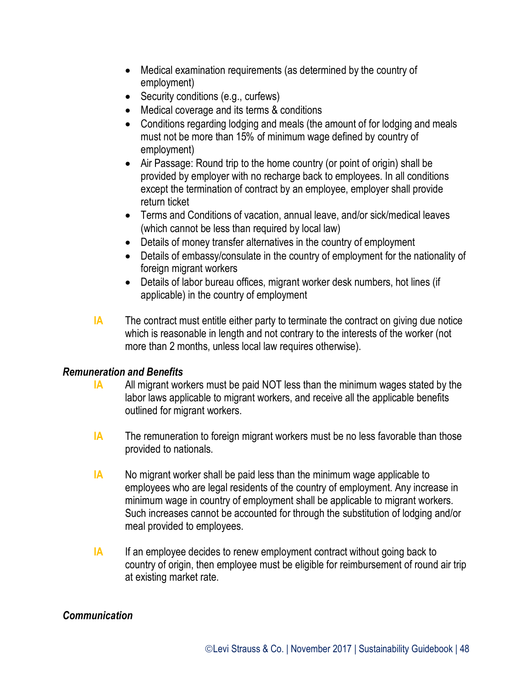- Medical examination requirements (as determined by the country of employment)
- Security conditions (e.g., curfews)
- Medical coverage and its terms & conditions
- Conditions regarding lodging and meals (the amount of for lodging and meals must not be more than 15% of minimum wage defined by country of employment)
- Air Passage: Round trip to the home country (or point of origin) shall be provided by employer with no recharge back to employees. In all conditions except the termination of contract by an employee, employer shall provide return ticket
- Terms and Conditions of vacation, annual leave, and/or sick/medical leaves (which cannot be less than required by local law)
- Details of money transfer alternatives in the country of employment
- Details of embassy/consulate in the country of employment for the nationality of foreign migrant workers
- Details of labor bureau offices, migrant worker desk numbers, hot lines (if applicable) in the country of employment
- **IA** The contract must entitle either party to terminate the contract on giving due notice which is reasonable in length and not contrary to the interests of the worker (not more than 2 months, unless local law requires otherwise).

#### *Remuneration and Benefits*

- **IA** All migrant workers must be paid NOT less than the minimum wages stated by the labor laws applicable to migrant workers, and receive all the applicable benefits outlined for migrant workers.
- **IA** The remuneration to foreign migrant workers must be no less favorable than those provided to nationals.
- **IA** No migrant worker shall be paid less than the minimum wage applicable to employees who are legal residents of the country of employment. Any increase in minimum wage in country of employment shall be applicable to migrant workers. Such increases cannot be accounted for through the substitution of lodging and/or meal provided to employees.
- **IA** If an employee decides to renew employment contract without going back to country of origin, then employee must be eligible for reimbursement of round air trip at existing market rate.

#### *Communication*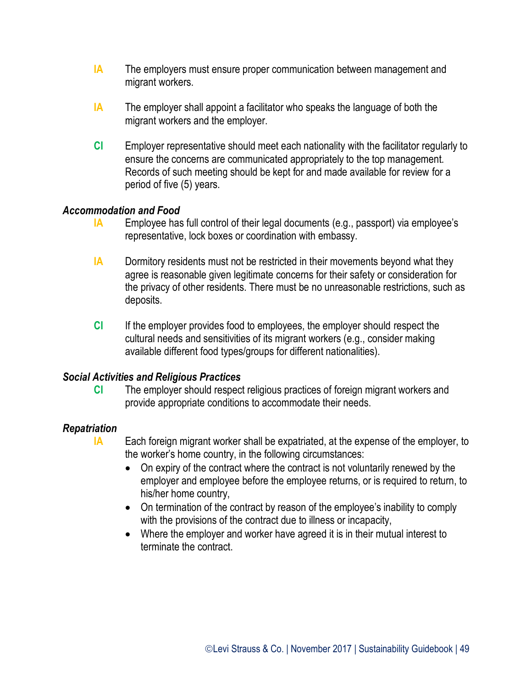- **IA** The employers must ensure proper communication between management and migrant workers.
- **IA** The employer shall appoint a facilitator who speaks the language of both the migrant workers and the employer.
- **CI** Employer representative should meet each nationality with the facilitator regularly to ensure the concerns are communicated appropriately to the top management. Records of such meeting should be kept for and made available for review for a period of five (5) years.

#### *Accommodation and Food*

- **IA** Employee has full control of their legal documents (e.g., passport) via employee's representative, lock boxes or coordination with embassy.
- **IA** Dormitory residents must not be restricted in their movements beyond what they agree is reasonable given legitimate concerns for their safety or consideration for the privacy of other residents. There must be no unreasonable restrictions, such as deposits.
- **CI** If the employer provides food to employees, the employer should respect the cultural needs and sensitivities of its migrant workers (e.g., consider making available different food types/groups for different nationalities).

#### *Social Activities and Religious Practices*

**CI** The employer should respect religious practices of foreign migrant workers and provide appropriate conditions to accommodate their needs.

#### *Repatriation*

- **IA** Each foreign migrant worker shall be expatriated, at the expense of the employer, to the worker's home country, in the following circumstances:
	- On expiry of the contract where the contract is not voluntarily renewed by the employer and employee before the employee returns, or is required to return, to his/her home country,
	- On termination of the contract by reason of the employee's inability to comply with the provisions of the contract due to illness or incapacity,
	- Where the employer and worker have agreed it is in their mutual interest to terminate the contract.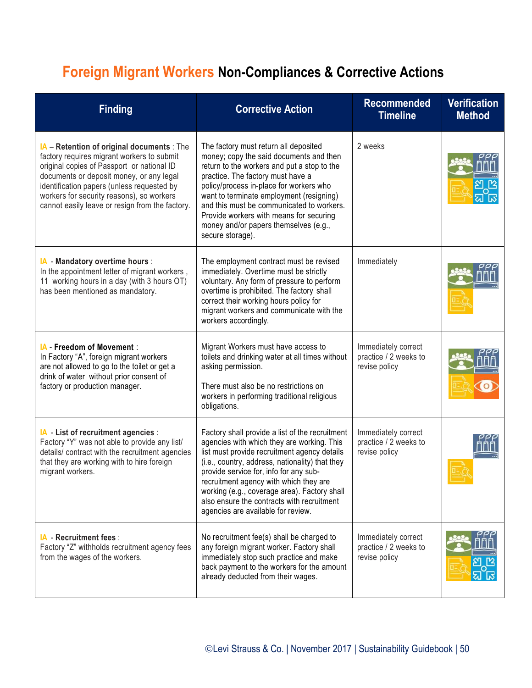# **Foreign Migrant Workers Non-Compliances & Corrective Actions**

| <b>Finding</b>                                                                                                                                                                                                                                                                                                                   | <b>Corrective Action</b>                                                                                                                                                                                                                                                                                                                                                                                                 | <b>Recommended</b><br><b>Timeline</b>                         | <b>Verification</b><br><b>Method</b> |
|----------------------------------------------------------------------------------------------------------------------------------------------------------------------------------------------------------------------------------------------------------------------------------------------------------------------------------|--------------------------------------------------------------------------------------------------------------------------------------------------------------------------------------------------------------------------------------------------------------------------------------------------------------------------------------------------------------------------------------------------------------------------|---------------------------------------------------------------|--------------------------------------|
| IA - Retention of original documents : The<br>factory requires migrant workers to submit<br>original copies of Passport or national ID<br>documents or deposit money, or any legal<br>identification papers (unless requested by<br>workers for security reasons), so workers<br>cannot easily leave or resign from the factory. | The factory must return all deposited<br>money; copy the said documents and then<br>return to the workers and put a stop to the<br>practice. The factory must have a<br>policy/process in-place for workers who<br>want to terminate employment (resigning)<br>and this must be communicated to workers.<br>Provide workers with means for securing<br>money and/or papers themselves (e.g.,<br>secure storage).         | 2 weeks                                                       |                                      |
| IA - Mandatory overtime hours :<br>In the appointment letter of migrant workers,<br>11 working hours in a day (with 3 hours OT)<br>has been mentioned as mandatory.                                                                                                                                                              | The employment contract must be revised<br>immediately. Overtime must be strictly<br>voluntary. Any form of pressure to perform<br>overtime is prohibited. The factory shall<br>correct their working hours policy for<br>migrant workers and communicate with the<br>workers accordingly.                                                                                                                               | Immediately                                                   |                                      |
| IA - Freedom of Movement :<br>In Factory "A", foreign migrant workers<br>are not allowed to go to the toilet or get a<br>drink of water without prior consent of<br>factory or production manager.                                                                                                                               | Migrant Workers must have access to<br>toilets and drinking water at all times without<br>asking permission.<br>There must also be no restrictions on<br>workers in performing traditional religious<br>obligations.                                                                                                                                                                                                     | Immediately correct<br>practice / 2 weeks to<br>revise policy |                                      |
| IA - List of recruitment agencies :<br>Factory "Y" was not able to provide any list/<br>details/ contract with the recruitment agencies<br>that they are working with to hire foreign<br>migrant workers.                                                                                                                        | Factory shall provide a list of the recruitment<br>agencies with which they are working. This<br>list must provide recruitment agency details<br>(i.e., country, address, nationality) that they<br>provide service for, info for any sub-<br>recruitment agency with which they are<br>working (e.g., coverage area). Factory shall<br>also ensure the contracts with recruitment<br>agencies are available for review. | Immediately correct<br>practice / 2 weeks to<br>revise policy |                                      |
| IA - Recruitment fees :<br>Factory "Z" withholds recruitment agency fees<br>from the wages of the workers.                                                                                                                                                                                                                       | No recruitment fee(s) shall be charged to<br>any foreign migrant worker. Factory shall<br>immediately stop such practice and make<br>back payment to the workers for the amount<br>already deducted from their wages.                                                                                                                                                                                                    | Immediately correct<br>practice / 2 weeks to<br>revise policy |                                      |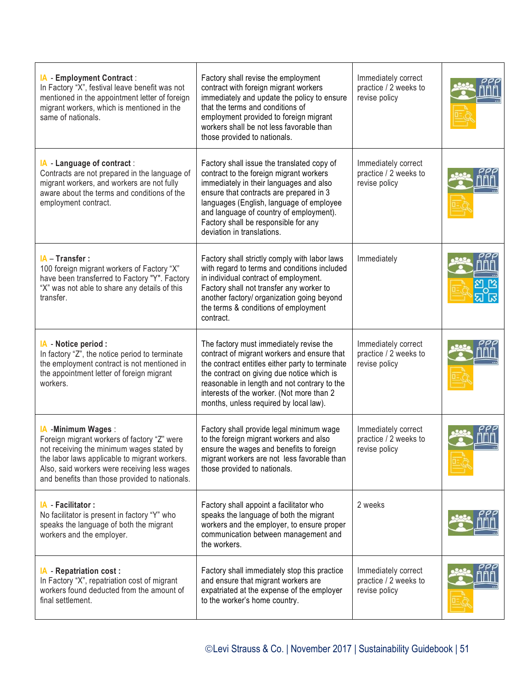| IA - Employment Contract:<br>In Factory "X", festival leave benefit was not<br>mentioned in the appointment letter of foreign<br>migrant workers, which is mentioned in the<br>same of nationals.                                                                  | Factory shall revise the employment<br>contract with foreign migrant workers<br>immediately and update the policy to ensure<br>that the terms and conditions of<br>employment provided to foreign migrant<br>workers shall be not less favorable than<br>those provided to nationals.                                                    | Immediately correct<br>practice / 2 weeks to<br>revise policy |  |
|--------------------------------------------------------------------------------------------------------------------------------------------------------------------------------------------------------------------------------------------------------------------|------------------------------------------------------------------------------------------------------------------------------------------------------------------------------------------------------------------------------------------------------------------------------------------------------------------------------------------|---------------------------------------------------------------|--|
| IA - Language of contract:<br>Contracts are not prepared in the language of<br>migrant workers, and workers are not fully<br>aware about the terms and conditions of the<br>employment contract.                                                                   | Factory shall issue the translated copy of<br>contract to the foreign migrant workers<br>immediately in their languages and also<br>ensure that contracts are prepared in 3<br>languages (English, language of employee<br>and language of country of employment).<br>Factory shall be responsible for any<br>deviation in translations. | Immediately correct<br>practice / 2 weeks to<br>revise policy |  |
| IA - Transfer :<br>100 foreign migrant workers of Factory "X"<br>have been transferred to Factory "Y". Factory<br>"X" was not able to share any details of this<br>transfer.                                                                                       | Factory shall strictly comply with labor laws<br>with regard to terms and conditions included<br>in individual contract of employment.<br>Factory shall not transfer any worker to<br>another factory/ organization going beyond<br>the terms & conditions of employment<br>contract.                                                    | Immediately                                                   |  |
| IA - Notice period :<br>In factory "Z", the notice period to terminate<br>the employment contract is not mentioned in<br>the appointment letter of foreign migrant<br>workers.                                                                                     | The factory must immediately revise the<br>contract of migrant workers and ensure that<br>the contract entitles either party to terminate<br>the contract on giving due notice which is<br>reasonable in length and not contrary to the<br>interests of the worker. (Not more than 2<br>months, unless required by local law).           | Immediately correct<br>practice / 2 weeks to<br>revise policy |  |
| IA - Minimum Wages:<br>Foreign migrant workers of factory "Z" were<br>not receiving the minimum wages stated by<br>the labor laws applicable to migrant workers.<br>Also, said workers were receiving less wages<br>and benefits than those provided to nationals. | Factory shall provide legal minimum wage<br>to the foreign migrant workers and also<br>ensure the wages and benefits to foreign<br>migrant workers are not less favorable than<br>those provided to nationals.                                                                                                                           | Immediately correct<br>practice / 2 weeks to<br>revise policy |  |
| IA - Facilitator :<br>No facilitator is present in factory "Y" who<br>speaks the language of both the migrant<br>workers and the employer.                                                                                                                         | Factory shall appoint a facilitator who<br>speaks the language of both the migrant<br>workers and the employer, to ensure proper<br>communication between management and<br>the workers.                                                                                                                                                 | 2 weeks                                                       |  |
| IA - Repatriation cost :<br>In Factory "X", repatriation cost of migrant<br>workers found deducted from the amount of<br>final settlement.                                                                                                                         | Factory shall immediately stop this practice<br>and ensure that migrant workers are<br>expatriated at the expense of the employer<br>to the worker's home country.                                                                                                                                                                       | Immediately correct<br>practice / 2 weeks to<br>revise policy |  |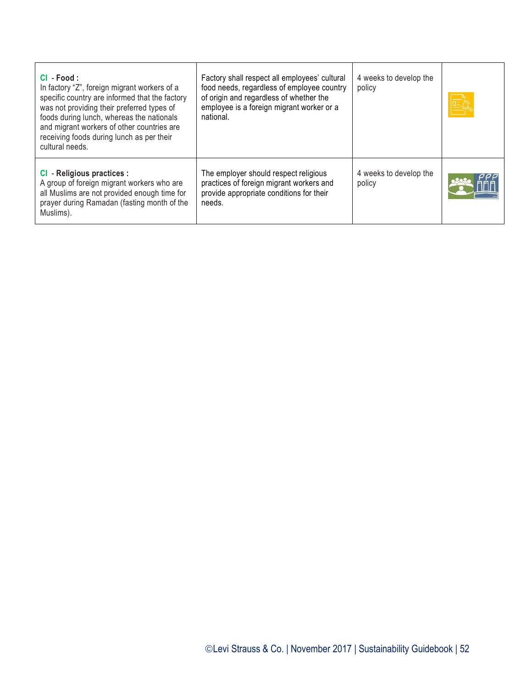| $Cl - Food:$<br>In factory "Z", foreign migrant workers of a<br>specific country are informed that the factory<br>was not providing their preferred types of<br>foods during lunch, whereas the nationals<br>and migrant workers of other countries are<br>receiving foods during lunch as per their<br>cultural needs. | Factory shall respect all employees' cultural<br>food needs, regardless of employee country<br>of origin and regardless of whether the<br>employee is a foreign migrant worker or a<br>national. | 4 weeks to develop the<br>policy |  |
|-------------------------------------------------------------------------------------------------------------------------------------------------------------------------------------------------------------------------------------------------------------------------------------------------------------------------|--------------------------------------------------------------------------------------------------------------------------------------------------------------------------------------------------|----------------------------------|--|
| CI - Religious practices :<br>A group of foreign migrant workers who are<br>all Muslims are not provided enough time for<br>prayer during Ramadan (fasting month of the<br>Muslims).                                                                                                                                    | The employer should respect religious<br>practices of foreign migrant workers and<br>provide appropriate conditions for their<br>needs.                                                          | 4 weeks to develop the<br>policy |  |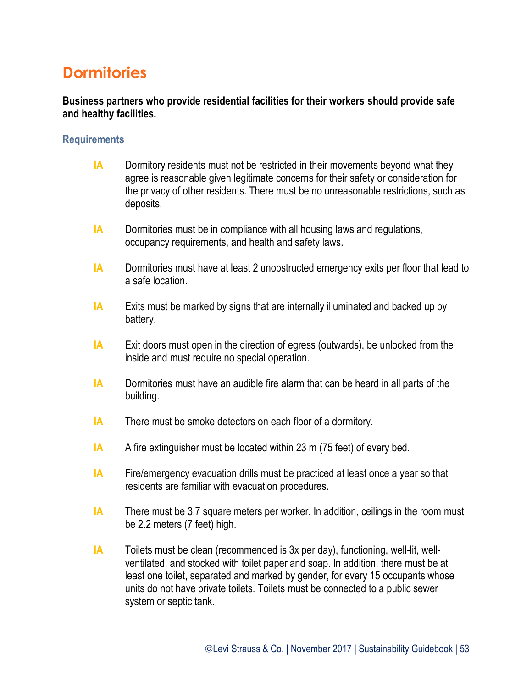### **Dormitories**

**Business partners who provide residential facilities for their workers should provide safe and healthy facilities.**

#### **Requirements**

- **IA** Dormitory residents must not be restricted in their movements beyond what they agree is reasonable given legitimate concerns for their safety or consideration for the privacy of other residents. There must be no unreasonable restrictions, such as deposits.
- **IA** Dormitories must be in compliance with all housing laws and regulations, occupancy requirements, and health and safety laws.
- **IA** Dormitories must have at least 2 unobstructed emergency exits per floor that lead to a safe location.
- **IA** Exits must be marked by signs that are internally illuminated and backed up by battery.
- **IA** Exit doors must open in the direction of egress (outwards), be unlocked from the inside and must require no special operation.
- **IA** Dormitories must have an audible fire alarm that can be heard in all parts of the building.
- **IA** There must be smoke detectors on each floor of a dormitory.
- **IA** A fire extinguisher must be located within 23 m (75 feet) of every bed.
- **IA** Fire/emergency evacuation drills must be practiced at least once a year so that residents are familiar with evacuation procedures.
- **IA** There must be 3.7 square meters per worker. In addition, ceilings in the room must be 2.2 meters (7 feet) high.
- **IA** Toilets must be clean (recommended is 3x per day), functioning, well-lit, wellventilated, and stocked with toilet paper and soap. In addition, there must be at least one toilet, separated and marked by gender, for every 15 occupants whose units do not have private toilets. Toilets must be connected to a public sewer system or septic tank.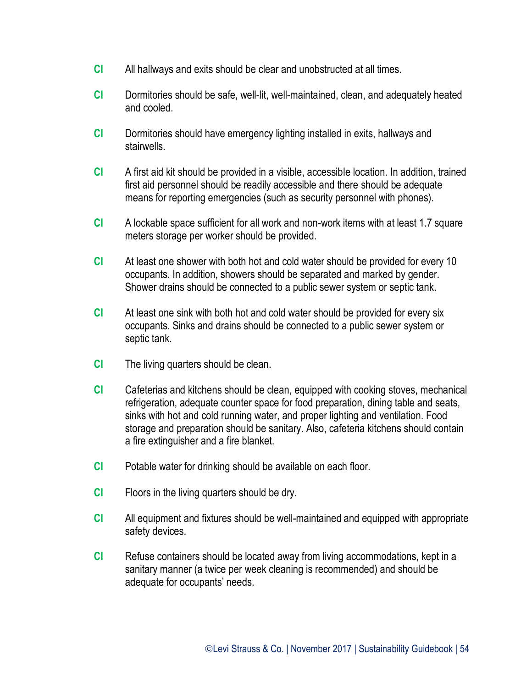- **CI** All hallways and exits should be clear and unobstructed at all times.
- **CI** Dormitories should be safe, well-lit, well-maintained, clean, and adequately heated and cooled.
- **CI** Dormitories should have emergency lighting installed in exits, hallways and stairwells.
- **CI** A first aid kit should be provided in a visible, accessible location. In addition, trained first aid personnel should be readily accessible and there should be adequate means for reporting emergencies (such as security personnel with phones).
- **CI** A lockable space sufficient for all work and non-work items with at least 1.7 square meters storage per worker should be provided.
- **CI** At least one shower with both hot and cold water should be provided for every 10 occupants. In addition, showers should be separated and marked by gender. Shower drains should be connected to a public sewer system or septic tank.
- **CI** At least one sink with both hot and cold water should be provided for every six occupants. Sinks and drains should be connected to a public sewer system or septic tank.
- **CI** The living quarters should be clean.
- **CI** Cafeterias and kitchens should be clean, equipped with cooking stoves, mechanical refrigeration, adequate counter space for food preparation, dining table and seats, sinks with hot and cold running water, and proper lighting and ventilation. Food storage and preparation should be sanitary. Also, cafeteria kitchens should contain a fire extinguisher and a fire blanket.
- **CI** Potable water for drinking should be available on each floor.
- **CI** Floors in the living quarters should be dry.
- **CI** All equipment and fixtures should be well-maintained and equipped with appropriate safety devices.
- **CI** Refuse containers should be located away from living accommodations, kept in a sanitary manner (a twice per week cleaning is recommended) and should be adequate for occupants' needs.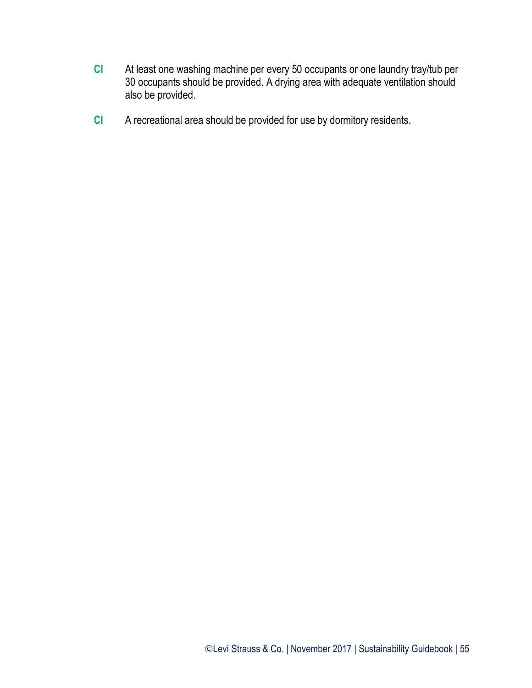- **CI** At least one washing machine per every 50 occupants or one laundry tray/tub per 30 occupants should be provided. A drying area with adequate ventilation should also be provided.
- **CI** A recreational area should be provided for use by dormitory residents.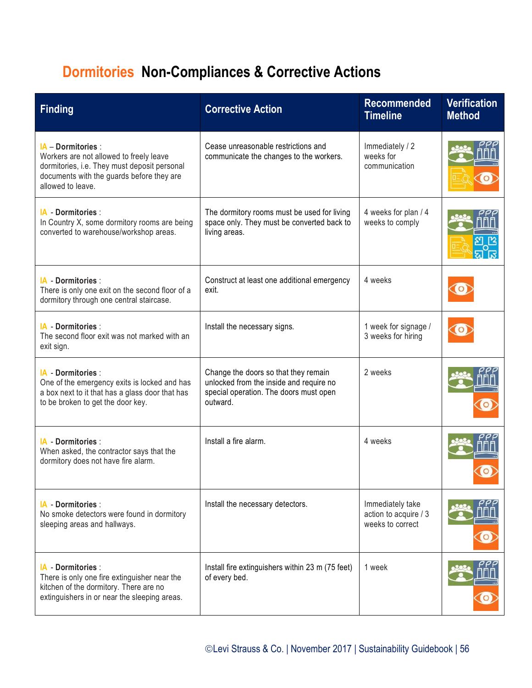# **Dormitories Non-Compliances & Corrective Actions**

| <b>Finding</b>                                                                                                                                                                    | <b>Corrective Action</b>                                                                                                              | <b>Recommended</b><br><b>Timeline</b>                         | <b>Verification</b><br><b>Method</b> |
|-----------------------------------------------------------------------------------------------------------------------------------------------------------------------------------|---------------------------------------------------------------------------------------------------------------------------------------|---------------------------------------------------------------|--------------------------------------|
| $IA$ – Dormitories :<br>Workers are not allowed to freely leave<br>dormitories, i.e. They must deposit personal<br>documents with the guards before they are<br>allowed to leave. | Cease unreasonable restrictions and<br>communicate the changes to the workers.                                                        | Immediately / 2<br>weeks for<br>communication                 |                                      |
| IA - Dormitories :<br>In Country X, some dormitory rooms are being<br>converted to warehouse/workshop areas.                                                                      | The dormitory rooms must be used for living<br>space only. They must be converted back to<br>living areas.                            | 4 weeks for plan / 4<br>weeks to comply                       |                                      |
| <b>IA</b> Dormitories:<br>There is only one exit on the second floor of a<br>dormitory through one central staircase.                                                             | Construct at least one additional emergency<br>exit.                                                                                  | 4 weeks                                                       |                                      |
| IA - Dormitories :<br>The second floor exit was not marked with an<br>exit sign.                                                                                                  | Install the necessary signs.                                                                                                          | 1 week for signage /<br>3 weeks for hiring                    |                                      |
| <b>IA</b> Dormitories:<br>One of the emergency exits is locked and has<br>a box next to it that has a glass door that has<br>to be broken to get the door key.                    | Change the doors so that they remain<br>unlocked from the inside and require no<br>special operation. The doors must open<br>outward. | 2 weeks                                                       |                                      |
| IA - Dormitories :<br>When asked, the contractor says that the<br>dormitory does not have fire alarm.                                                                             | Install a fire alarm.                                                                                                                 | 4 weeks                                                       |                                      |
| IA Dormitories:<br>No smoke detectors were found in dormitory<br>sleeping areas and hallways.                                                                                     | Install the necessary detectors.                                                                                                      | Immediately take<br>action to acquire / 3<br>weeks to correct |                                      |
| <b>IA</b> Dormitories:<br>There is only one fire extinguisher near the<br>kitchen of the dormitory. There are no<br>extinguishers in or near the sleeping areas.                  | Install fire extinguishers within 23 m (75 feet)<br>of every bed.                                                                     | 1 week                                                        |                                      |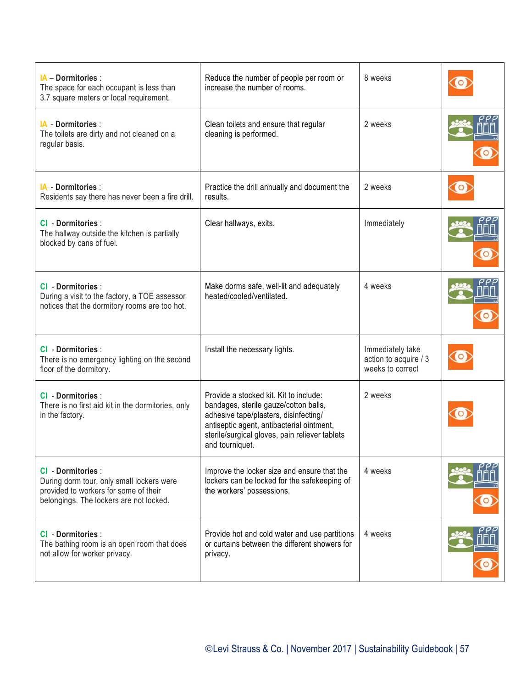| <b>IA - Dormitories:</b><br>The space for each occupant is less than<br>3.7 square meters or local requirement.                                           | Reduce the number of people per room or<br>increase the number of rooms.                                                                                                                                                                   | 8 weeks                                                       |  |
|-----------------------------------------------------------------------------------------------------------------------------------------------------------|--------------------------------------------------------------------------------------------------------------------------------------------------------------------------------------------------------------------------------------------|---------------------------------------------------------------|--|
| <b>IA - Dormitories:</b><br>The toilets are dirty and not cleaned on a<br>regular basis.                                                                  | Clean toilets and ensure that regular<br>cleaning is performed.                                                                                                                                                                            | 2 weeks                                                       |  |
| <b>IA - Dormitories:</b><br>Residents say there has never been a fire drill.                                                                              | Practice the drill annually and document the<br>results.                                                                                                                                                                                   | 2 weeks                                                       |  |
| <b>CI</b> - Dormitories :<br>The hallway outside the kitchen is partially<br>blocked by cans of fuel.                                                     | Clear hallways, exits.                                                                                                                                                                                                                     | Immediately                                                   |  |
| CI - Dormitories :<br>During a visit to the factory, a TOE assessor<br>notices that the dormitory rooms are too hot.                                      | Make dorms safe, well-lit and adequately<br>heated/cooled/ventilated.                                                                                                                                                                      | 4 weeks                                                       |  |
| <b>CI</b> - Dormitories :<br>There is no emergency lighting on the second<br>floor of the dormitory.                                                      | Install the necessary lights.                                                                                                                                                                                                              | Immediately take<br>action to acquire / 3<br>weeks to correct |  |
| <b>CI</b> - Dormitories :<br>There is no first aid kit in the dormitories, only<br>in the factory.                                                        | Provide a stocked kit. Kit to include:<br>bandages, sterile gauze/cotton balls,<br>adhesive tape/plasters, disinfecting/<br>antiseptic agent, antibacterial ointment,<br>sterile/surgical gloves, pain reliever tablets<br>and tourniquet. | 2 weeks                                                       |  |
| <b>CI - Dormitories:</b><br>During dorm tour, only small lockers were<br>provided to workers for some of their<br>belongings. The lockers are not locked. | Improve the locker size and ensure that the<br>lockers can be locked for the safekeeping of<br>the workers' possessions.                                                                                                                   | 4 weeks                                                       |  |
| CI - Dormitories :<br>The bathing room is an open room that does<br>not allow for worker privacy.                                                         | Provide hot and cold water and use partitions<br>or curtains between the different showers for<br>privacy.                                                                                                                                 | 4 weeks                                                       |  |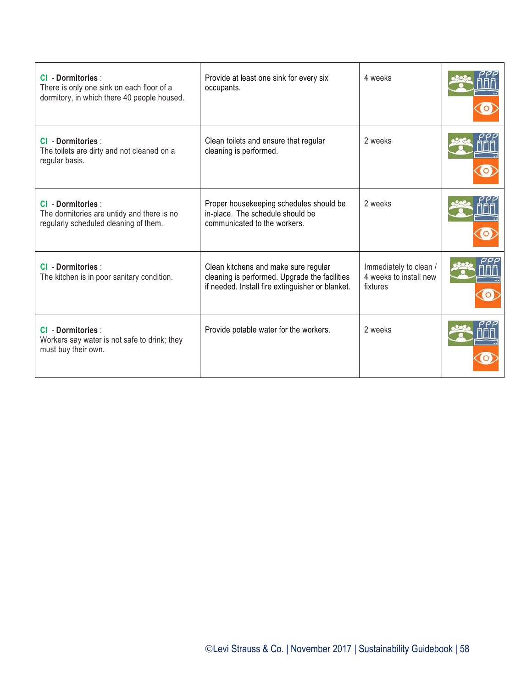| <b>CI - Dormitories:</b><br>There is only one sink on each floor of a<br>dormitory, in which there 40 people housed. | Provide at least one sink for every six<br>occupants.                                                                                     | 4 weeks                                                      |  |
|----------------------------------------------------------------------------------------------------------------------|-------------------------------------------------------------------------------------------------------------------------------------------|--------------------------------------------------------------|--|
| <b>CI - Dormitories:</b><br>The toilets are dirty and not cleaned on a<br>regular basis.                             | Clean toilets and ensure that regular<br>cleaning is performed.                                                                           | 2 weeks                                                      |  |
| <b>CI</b> - Dormitories :<br>The dormitories are untidy and there is no<br>regularly scheduled cleaning of them.     | Proper housekeeping schedules should be<br>in-place. The schedule should be<br>communicated to the workers.                               | 2 weeks                                                      |  |
| <b>CI - Dormitories:</b><br>The kitchen is in poor sanitary condition.                                               | Clean kitchens and make sure regular<br>cleaning is performed. Upgrade the facilities<br>if needed. Install fire extinguisher or blanket. | Immediately to clean /<br>4 weeks to install new<br>fixtures |  |
| <b>CI - Dormitories:</b><br>Workers say water is not safe to drink; they<br>must buy their own.                      | Provide potable water for the workers.                                                                                                    | 2 weeks                                                      |  |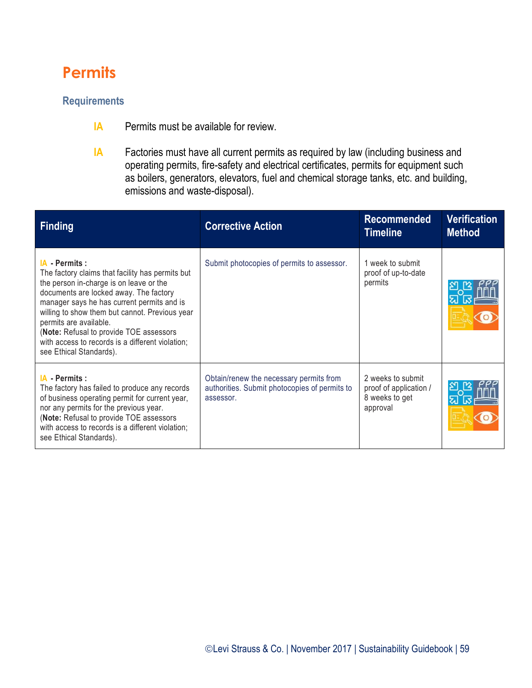## **Permits**

#### **Requirements**

- **IA** Permits must be available for review.
- **IA** Factories must have all current permits as required by law (including business and operating permits, fire-safety and electrical certificates, permits for equipment such as boilers, generators, elevators, fuel and chemical storage tanks, etc. and building, emissions and waste-disposal).

| <b>Finding</b>                                                                                                                                                                                                                                                                                                                                                                                              | <b>Corrective Action</b>                                                                              | <b>Recommended</b><br><b>Timeline</b>                                     | <b>Verification</b><br><b>Method</b> |
|-------------------------------------------------------------------------------------------------------------------------------------------------------------------------------------------------------------------------------------------------------------------------------------------------------------------------------------------------------------------------------------------------------------|-------------------------------------------------------------------------------------------------------|---------------------------------------------------------------------------|--------------------------------------|
| IA - Permits :<br>The factory claims that facility has permits but<br>the person in-charge is on leave or the<br>documents are locked away. The factory<br>manager says he has current permits and is<br>willing to show them but cannot. Previous year<br>permits are available.<br>(Note: Refusal to provide TOE assessors<br>with access to records is a different violation;<br>see Ethical Standards). | Submit photocopies of permits to assessor.                                                            | 1 week to submit<br>proof of up-to-date<br>permits                        |                                      |
| IA - Permits :<br>The factory has failed to produce any records<br>of business operating permit for current year,<br>nor any permits for the previous year.<br>(Note: Refusal to provide TOE assessors<br>with access to records is a different violation;<br>see Ethical Standards).                                                                                                                       | Obtain/renew the necessary permits from<br>authorities. Submit photocopies of permits to<br>assessor. | 2 weeks to submit<br>proof of application /<br>8 weeks to get<br>approval |                                      |